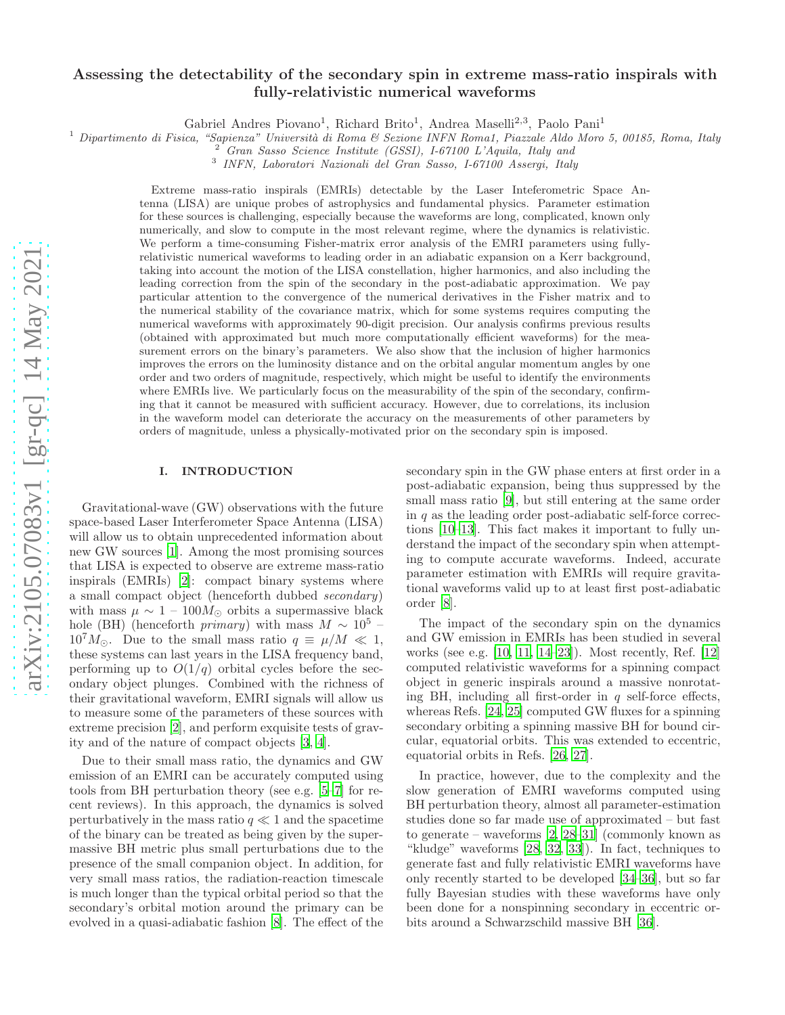# Assessing the detectability of the secondary spin in extreme mass-ratio inspirals with fully-relativistic numerical waveforms

Gabriel Andres Piovano<sup>1</sup>, Richard Brito<sup>1</sup>, Andrea Maselli<sup>2,3</sup>, Paolo Pani<sup>1</sup>

<sup>1</sup> Dipartimento di Fisica, "Sapienza" Università di Roma & Sezione INFN Roma1, Piazzale Aldo Moro 5, 00185, Roma, Italy

<sup>2</sup> *Gran Sasso Science Institute (GSSI), I-67100 L'Aquila, Italy and*

3 *INFN, Laboratori Nazionali del Gran Sasso, I-67100 Assergi, Italy*

Extreme mass-ratio inspirals (EMRIs) detectable by the Laser Inteferometric Space Antenna (LISA) are unique probes of astrophysics and fundamental physics. Parameter estimation for these sources is challenging, especially because the waveforms are long, complicated, known only numerically, and slow to compute in the most relevant regime, where the dynamics is relativistic. We perform a time-consuming Fisher-matrix error analysis of the EMRI parameters using fullyrelativistic numerical waveforms to leading order in an adiabatic expansion on a Kerr background, taking into account the motion of the LISA constellation, higher harmonics, and also including the leading correction from the spin of the secondary in the post-adiabatic approximation. We pay particular attention to the convergence of the numerical derivatives in the Fisher matrix and to the numerical stability of the covariance matrix, which for some systems requires computing the numerical waveforms with approximately 90-digit precision. Our analysis confirms previous results (obtained with approximated but much more computationally efficient waveforms) for the measurement errors on the binary's parameters. We also show that the inclusion of higher harmonics improves the errors on the luminosity distance and on the orbital angular momentum angles by one order and two orders of magnitude, respectively, which might be useful to identify the environments where EMRIs live. We particularly focus on the measurability of the spin of the secondary, confirming that it cannot be measured with sufficient accuracy. However, due to correlations, its inclusion in the waveform model can deteriorate the accuracy on the measurements of other parameters by orders of magnitude, unless a physically-motivated prior on the secondary spin is imposed.

## I. INTRODUCTION

Gravitational-wave (GW) observations with the future space-based Laser Interferometer Space Antenna (LISA) will allow us to obtain unprecedented information about new GW sources [\[1](#page-17-0)]. Among the most promising sources that LISA is expected to observe are extreme mass-ratio inspirals (EMRIs) [\[2\]](#page-17-1): compact binary systems where a small compact object (henceforth dubbed secondary) with mass  $\mu \sim 1 - 100 M_{\odot}$  orbits a supermassive black hole (BH) (henceforth *primary*) with mass  $M \sim 10^5$  –  $10^{7}M_{\odot}$ . Due to the small mass ratio  $q \equiv \mu/M \ll 1$ , these systems can last years in the LISA frequency band, performing up to  $O(1/q)$  orbital cycles before the secondary object plunges. Combined with the richness of their gravitational waveform, EMRI signals will allow us to measure some of the parameters of these sources with extreme precision [\[2\]](#page-17-1), and perform exquisite tests of gravity and of the nature of compact objects [\[3](#page-17-2), [4\]](#page-17-3).

Due to their small mass ratio, the dynamics and GW emission of an EMRI can be accurately computed using tools from BH perturbation theory (see e.g. [\[5](#page-17-4)[–7\]](#page-17-5) for recent reviews). In this approach, the dynamics is solved perturbatively in the mass ratio  $q \ll 1$  and the spacetime of the binary can be treated as being given by the supermassive BH metric plus small perturbations due to the presence of the small companion object. In addition, for very small mass ratios, the radiation-reaction timescale is much longer than the typical orbital period so that the secondary's orbital motion around the primary can be evolved in a quasi-adiabatic fashion [\[8](#page-17-6)]. The effect of the secondary spin in the GW phase enters at first order in a post-adiabatic expansion, being thus suppressed by the small mass ratio [\[9](#page-17-7)], but still entering at the same order in  $q$  as the leading order post-adiabatic self-force corrections [\[10](#page-17-8)[–13\]](#page-17-9). This fact makes it important to fully understand the impact of the secondary spin when attempting to compute accurate waveforms. Indeed, accurate parameter estimation with EMRIs will require gravitational waveforms valid up to at least first post-adiabatic order [\[8\]](#page-17-6).

The impact of the secondary spin on the dynamics and GW emission in EMRIs has been studied in several works (see e.g. [\[10](#page-17-8), [11,](#page-17-10) [14](#page-17-11)[–23\]](#page-18-0)). Most recently, Ref. [\[12](#page-17-12)] computed relativistic waveforms for a spinning compact object in generic inspirals around a massive nonrotating BH, including all first-order in  $q$  self-force effects, whereas Refs. [\[24,](#page-18-1) [25\]](#page-18-2) computed GW fluxes for a spinning secondary orbiting a spinning massive BH for bound circular, equatorial orbits. This was extended to eccentric, equatorial orbits in Refs. [\[26](#page-18-3), [27](#page-18-4)].

In practice, however, due to the complexity and the slow generation of EMRI waveforms computed using BH perturbation theory, almost all parameter-estimation studies done so far made use of approximated – but fast to generate – waveforms  $[2, 28-31]$  $[2, 28-31]$  $[2, 28-31]$  (commonly known as "kludge" waveforms [\[28,](#page-18-5) [32](#page-18-7), [33\]](#page-18-8)). In fact, techniques to generate fast and fully relativistic EMRI waveforms have only recently started to be developed [\[34](#page-18-9)[–36\]](#page-18-10), but so far fully Bayesian studies with these waveforms have only been done for a nonspinning secondary in eccentric orbits around a Schwarzschild massive BH [\[36\]](#page-18-10).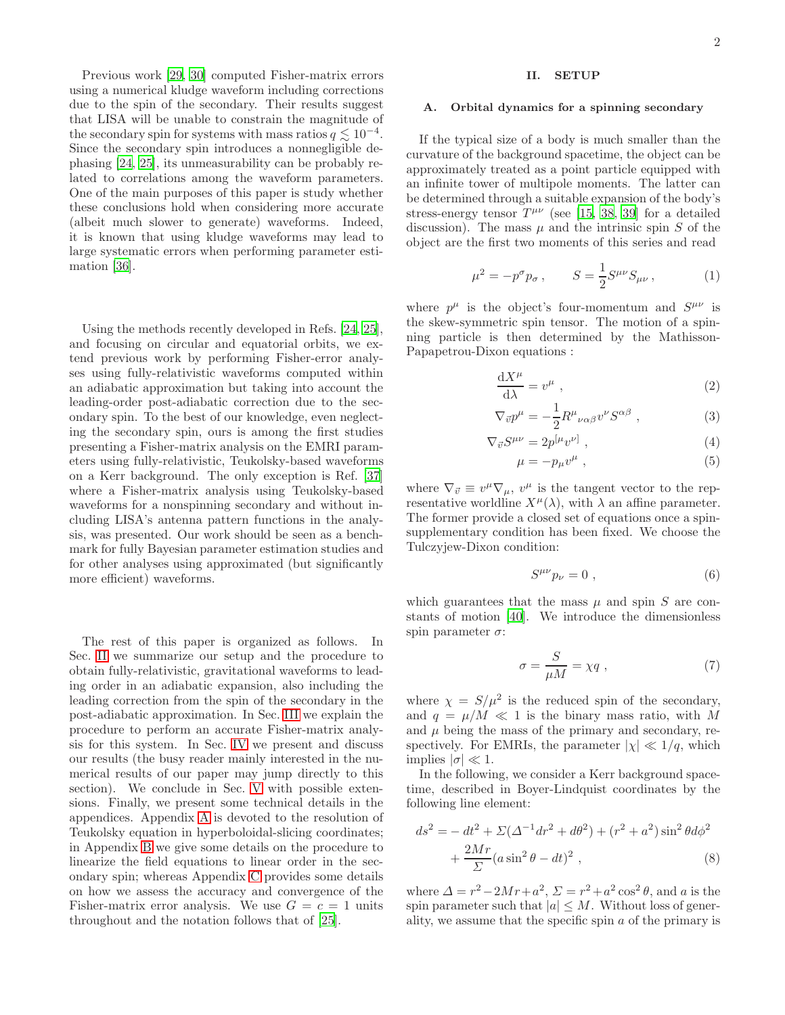Previous work [\[29](#page-18-11), [30\]](#page-18-12) computed Fisher-matrix errors using a numerical kludge waveform including corrections due to the spin of the secondary. Their results suggest that LISA will be unable to constrain the magnitude of the secondary spin for systems with mass ratios  $q \lesssim 10^{-4}$ . Since the secondary spin introduces a nonnegligible dephasing [\[24](#page-18-1), [25](#page-18-2)], its unmeasurability can be probably related to correlations among the waveform parameters. One of the main purposes of this paper is study whether these conclusions hold when considering more accurate (albeit much slower to generate) waveforms. Indeed, it is known that using kludge waveforms may lead to large systematic errors when performing parameter estimation [\[36\]](#page-18-10).

Using the methods recently developed in Refs. [\[24](#page-18-1), [25\]](#page-18-2), and focusing on circular and equatorial orbits, we extend previous work by performing Fisher-error analyses using fully-relativistic waveforms computed within an adiabatic approximation but taking into account the leading-order post-adiabatic correction due to the secondary spin. To the best of our knowledge, even neglecting the secondary spin, ours is among the first studies presenting a Fisher-matrix analysis on the EMRI parameters using fully-relativistic, Teukolsky-based waveforms on a Kerr background. The only exception is Ref. [\[37](#page-18-13)] where a Fisher-matrix analysis using Teukolsky-based waveforms for a nonspinning secondary and without including LISA's antenna pattern functions in the analysis, was presented. Our work should be seen as a benchmark for fully Bayesian parameter estimation studies and for other analyses using approximated (but significantly more efficient) waveforms.

The rest of this paper is organized as follows. In Sec. [II](#page-1-0) we summarize our setup and the procedure to obtain fully-relativistic, gravitational waveforms to leading order in an adiabatic expansion, also including the leading correction from the spin of the secondary in the post-adiabatic approximation. In Sec. [III](#page-6-0) we explain the procedure to perform an accurate Fisher-matrix analysis for this system. In Sec. [IV](#page-7-0) we present and discuss our results (the busy reader mainly interested in the numerical results of our paper may jump directly to this section). We conclude in Sec. [V](#page-9-0) with possible extensions. Finally, we present some technical details in the appendices. Appendix [A](#page-10-0) is devoted to the resolution of Teukolsky equation in hyperboloidal-slicing coordinates; in Appendix [B](#page-12-0) we give some details on the procedure to linearize the field equations to linear order in the secondary spin; whereas Appendix [C](#page-16-0) provides some details on how we assess the accuracy and convergence of the Fisher-matrix error analysis. We use  $G = c = 1$  units throughout and the notation follows that of [\[25\]](#page-18-2).

## <span id="page-1-0"></span>II. SETUP

#### A. Orbital dynamics for a spinning secondary

If the typical size of a body is much smaller than the curvature of the background spacetime, the object can be approximately treated as a point particle equipped with an infinite tower of multipole moments. The latter can be determined through a suitable expansion of the body's stress-energy tensor  $T^{\mu\nu}$  (see [\[15](#page-17-13), [38](#page-18-14), [39\]](#page-18-15) for a detailed discussion). The mass  $\mu$  and the intrinsic spin S of the object are the first two moments of this series and read

$$
\mu^2 = -p^{\sigma} p_{\sigma} , \qquad S = \frac{1}{2} S^{\mu\nu} S_{\mu\nu} , \qquad (1)
$$

where  $p^{\mu}$  is the object's four-momentum and  $S^{\mu\nu}$  is the skew-symmetric spin tensor. The motion of a spinning particle is then determined by the Mathisson-Papapetrou-Dixon equations :

$$
\frac{\mathrm{d}X^{\mu}}{\mathrm{d}\lambda} = v^{\mu} \tag{2}
$$

$$
\nabla_{\vec{v}} p^{\mu} = -\frac{1}{2} R^{\mu}{}_{\nu\alpha\beta} v^{\nu} S^{\alpha\beta} , \qquad (3)
$$

$$
\nabla_{\vec{v}} S^{\mu\nu} = 2p^{[\mu} v^{\nu]}, \qquad (4)
$$

$$
\mu = -p_{\mu}v^{\mu} \tag{5}
$$

where  $\nabla_{\vec{v}} \equiv v^{\mu} \nabla_{\mu}, v^{\mu}$  is the tangent vector to the representative worldline  $X^{\mu}(\lambda)$ , with  $\lambda$  an affine parameter. The former provide a closed set of equations once a spinsupplementary condition has been fixed. We choose the Tulczyjew-Dixon condition:

$$
S^{\mu\nu}p_{\nu}=0\ ,\qquad \qquad (6)
$$

which guarantees that the mass  $\mu$  and spin S are constants of motion [\[40\]](#page-18-16). We introduce the dimensionless spin parameter  $\sigma$ :

$$
\sigma = \frac{S}{\mu M} = \chi q \;, \tag{7}
$$

where  $\chi = S/\mu^2$  is the reduced spin of the secondary, and  $q = \mu/M \ll 1$  is the binary mass ratio, with M and  $\mu$  being the mass of the primary and secondary, respectively. For EMRIs, the parameter  $|\chi| \ll 1/q$ , which implies  $|\sigma| \ll 1$ .

In the following, we consider a Kerr background spacetime, described in Boyer-Lindquist coordinates by the following line element:

$$
ds^{2} = - dt^{2} + \Sigma(\Delta^{-1}dr^{2} + d\theta^{2}) + (r^{2} + a^{2})\sin^{2}\theta d\phi^{2} + \frac{2Mr}{\Sigma}(a\sin^{2}\theta - dt)^{2},
$$
\n(8)

where  $\Delta = r^2 - 2Mr + a^2$ ,  $\Sigma = r^2 + a^2 \cos^2 \theta$ , and a is the spin parameter such that  $|a| \leq M$ . Without loss of generality, we assume that the specific spin  $a$  of the primary is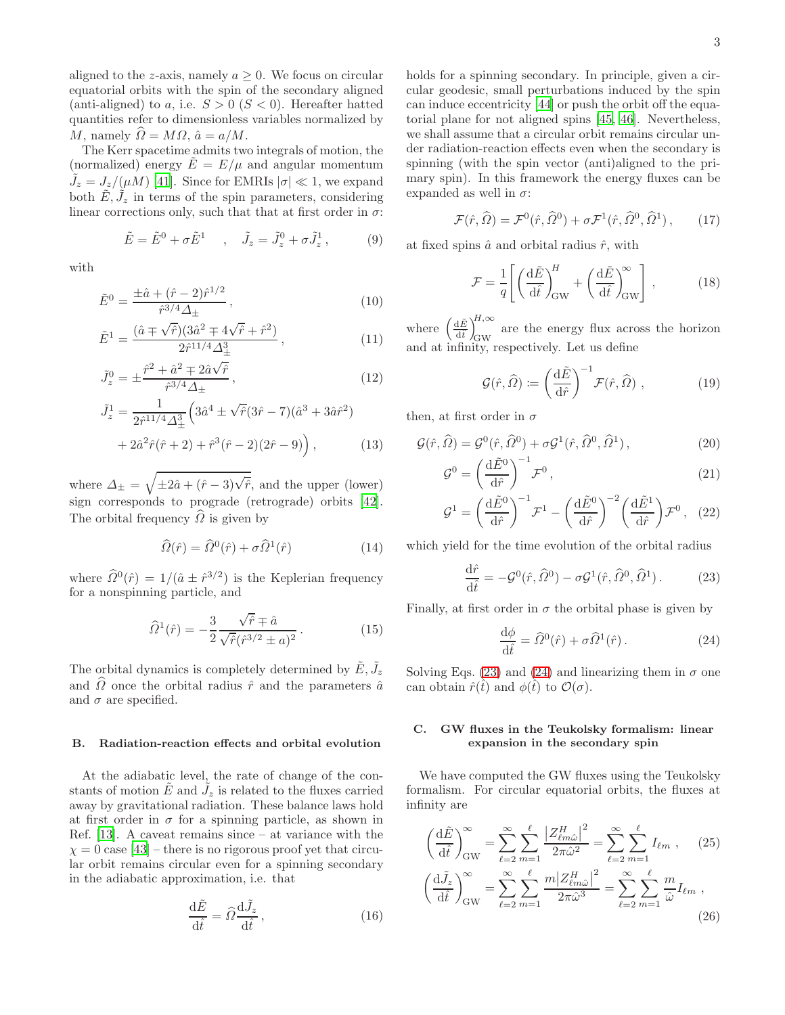aligned to the z-axis, namely  $a \geq 0$ . We focus on circular equatorial orbits with the spin of the secondary aligned (anti-aligned) to a, i.e.  $S > 0$  ( $S < 0$ ). Hereafter hatted quantities refer to dimensionless variables normalized by M, namely  $\widehat{\Omega} = M\Omega$ ,  $\hat{a} = a/M$ .

The Kerr spacetime admits two integrals of motion, the (normalized) energy  $E = E/\mu$  and angular momentum  $\tilde{J}_z = J_z/(\mu M)$  [\[41\]](#page-18-17). Since for EMRIs  $|\sigma| \ll 1$ , we expand both  $\tilde{E}, \tilde{J}_z$  in terms of the spin parameters, considering linear corrections only, such that that at first order in  $\sigma$ :

$$
\tilde{E} = \tilde{E}^0 + \sigma \tilde{E}^1 \quad , \quad \tilde{J}_z = \tilde{J}_z^0 + \sigma \tilde{J}_z^1 \,, \tag{9}
$$

with

$$
\tilde{E}^0 = \frac{\pm \hat{a} + (\hat{r} - 2)\hat{r}^{1/2}}{\hat{r}^{3/4} \Delta_{\pm}},
$$
\n(10)

$$
\tilde{E}^{1} = \frac{(\hat{a} \pm \sqrt{\hat{r}})(3\hat{a}^{2} \mp 4\sqrt{\hat{r}} + \hat{r}^{2})}{2\hat{r}^{11/4}\Delta_{\pm}^{3}},
$$
\n(11)

$$
\tilde{J}_z^0 = \pm \frac{\hat{r}^2 + \hat{a}^2 \mp 2\hat{a}\sqrt{\hat{r}}}{\hat{r}^{3/4}\Delta_{\pm}},
$$
\n(12)

$$
\tilde{J}_z^1 = \frac{1}{2\hat{r}^{11/4}\Delta_{\pm}^3} \left( 3\hat{a}^4 \pm \sqrt{\hat{r}}(3\hat{r} - 7)(\hat{a}^3 + 3\hat{a}\hat{r}^2) + 2\hat{a}^2\hat{r}(\hat{r} + 2) + \hat{r}^3(\hat{r} - 2)(2\hat{r} - 9) \right),
$$
\n(13)

where  $\Delta_{\pm} = \sqrt{\pm 2\hat{a} + (\hat{r} - 3)\sqrt{\hat{r}}},$  and the upper (lower) sign corresponds to prograde (retrograde) orbits [\[42\]](#page-18-18). The orbital frequency  $\hat{\Omega}$  is given by

$$
\widehat{\Omega}(\hat{r}) = \widehat{\Omega}^0(\hat{r}) + \sigma \widehat{\Omega}^1(\hat{r}) \tag{14}
$$

where  $\hat{\Omega}^0(\hat{r}) = 1/(\hat{a} \pm \hat{r}^{3/2})$  is the Keplerian frequency for a nonspinning particle, and

$$
\widehat{\Omega}^{1}(\hat{r}) = -\frac{3}{2} \frac{\sqrt{\hat{r}} \mp \hat{a}}{\sqrt{\hat{r}} (\hat{r}^{3/2} \pm a)^{2}}.
$$
 (15)

The orbital dynamics is completely determined by  $\tilde{E}, \tilde{J}_z$ and  $\hat{\Omega}$  once the orbital radius  $\hat{r}$  and the parameters  $\hat{a}$ and  $\sigma$  are specified.

#### B. Radiation-reaction effects and orbital evolution

At the adiabatic level, the rate of change of the constants of motion  $\tilde{E}$  and  $\tilde{J}_z$  is related to the fluxes carried away by gravitational radiation. These balance laws hold at first order in  $\sigma$  for a spinning particle, as shown in Ref. [\[13\]](#page-17-9). A caveat remains since – at variance with the  $\chi = 0$  case [\[43](#page-18-19)] – there is no rigorous proof yet that circular orbit remains circular even for a spinning secondary in the adiabatic approximation, i.e. that

$$
\frac{\mathrm{d}\tilde{E}}{\mathrm{d}\hat{t}} = \hat{\Omega}\frac{\mathrm{d}\tilde{J}_z}{\mathrm{d}\hat{t}},\tag{16}
$$

holds for a spinning secondary. In principle, given a circular geodesic, small perturbations induced by the spin can induce eccentricity [\[44\]](#page-18-20) or push the orbit off the equatorial plane for not aligned spins [\[45,](#page-18-21) [46](#page-18-22)]. Nevertheless, we shall assume that a circular orbit remains circular under radiation-reaction effects even when the secondary is spinning (with the spin vector (anti)aligned to the primary spin). In this framework the energy fluxes can be expanded as well in  $\sigma$ :

$$
\mathcal{F}(\hat{r}, \hat{\Omega}) = \mathcal{F}^0(\hat{r}, \hat{\Omega}^0) + \sigma \mathcal{F}^1(\hat{r}, \hat{\Omega}^0, \hat{\Omega}^1), \qquad (17)
$$

at fixed spins  $\hat{a}$  and orbital radius  $\hat{r}$ , with

$$
\mathcal{F} = \frac{1}{q} \left[ \left( \frac{\mathrm{d}\tilde{E}}{\mathrm{d}\hat{t}} \right)_{\mathrm{GW}}^H + \left( \frac{\mathrm{d}\tilde{E}}{\mathrm{d}\hat{t}} \right)_{\mathrm{GW}}^{\infty} \right],\tag{18}
$$

where  $\left(\frac{\mathrm{d}\tilde{E}}{\mathrm{d}\hat{t}}\right)$  $d\hat{t}$  $\setminus^{H,\infty}$ GW are the energy flux across the horizon and at infinity, respectively. Let us define

$$
\mathcal{G}(\hat{r},\hat{\Omega}) \coloneqq \left(\frac{\mathrm{d}\tilde{E}}{\mathrm{d}\hat{r}}\right)^{-1} \mathcal{F}(\hat{r},\hat{\Omega}),\tag{19}
$$

then, at first order in  $\sigma$ 

G

$$
\mathcal{G}(\hat{r}, \hat{\Omega}) = \mathcal{G}^0(\hat{r}, \hat{\Omega}^0) + \sigma \mathcal{G}^1(\hat{r}, \hat{\Omega}^0, \hat{\Omega}^1) ,
$$
\n(20)

$$
\mathcal{G}^0 = \left(\frac{\mathrm{d}\tilde{E}^0}{\mathrm{d}\hat{r}}\right)^{-1} \mathcal{F}^0, \qquad (21)
$$

$$
\mathcal{G}^1 = \left(\frac{\mathrm{d}\tilde{E}^0}{\mathrm{d}\hat{r}}\right)^{-1} \mathcal{F}^1 - \left(\frac{\mathrm{d}\tilde{E}^0}{\mathrm{d}\hat{r}}\right)^{-2} \left(\frac{\mathrm{d}\tilde{E}^1}{\mathrm{d}\hat{r}}\right) \mathcal{F}^0 \,, \tag{22}
$$

which yield for the time evolution of the orbital radius

<span id="page-2-0"></span>
$$
\frac{\mathrm{d}\hat{r}}{\mathrm{d}\hat{t}} = -\mathcal{G}^0(\hat{r}, \hat{\Omega}^0) - \sigma \mathcal{G}^1(\hat{r}, \hat{\Omega}^0, \hat{\Omega}^1). \tag{23}
$$

Finally, at first order in  $\sigma$  the orbital phase is given by

<span id="page-2-1"></span>
$$
\frac{\mathrm{d}\phi}{\mathrm{d}\hat{t}} = \hat{\Omega}^0(\hat{r}) + \sigma \hat{\Omega}^1(\hat{r}). \tag{24}
$$

Solving Eqs. [\(23\)](#page-2-0) and [\(24\)](#page-2-1) and linearizing them in  $\sigma$  one can obtain  $\hat{r}(\hat{t})$  and  $\phi(\hat{t})$  to  $\mathcal{O}(\sigma)$ .

## C. GW fluxes in the Teukolsky formalism: linear expansion in the secondary spin

We have computed the GW fluxes using the Teukolsky formalism. For circular equatorial orbits, the fluxes at infinity are

<span id="page-2-2"></span>
$$
\left(\frac{\mathrm{d}\tilde{E}}{\mathrm{d}\tilde{t}}\right)_{\text{GW}}^{\infty} = \sum_{\ell=2}^{\infty} \sum_{m=1}^{\ell} \frac{\left|Z_{\ell m \hat{\omega}}^{H}\right|^{2}}{2\pi \hat{\omega}^{2}} = \sum_{\ell=2}^{\infty} \sum_{m=1}^{\ell} I_{\ell m} , \qquad (25)
$$

$$
\left(\frac{\mathrm{d}\tilde{J}_{z}}{\mathrm{d}\tilde{t}}\right)_{\text{GW}}^{\infty} = \sum_{\ell=2}^{\infty} \sum_{m=1}^{\ell} \frac{m \left|Z_{\ell m \hat{\omega}}^{H}\right|^{2}}{2\pi \hat{\omega}^{3}} = \sum_{\ell=2}^{\infty} \sum_{m=1}^{\ell} \frac{m}{\hat{\omega}} I_{\ell m} , \qquad (26)
$$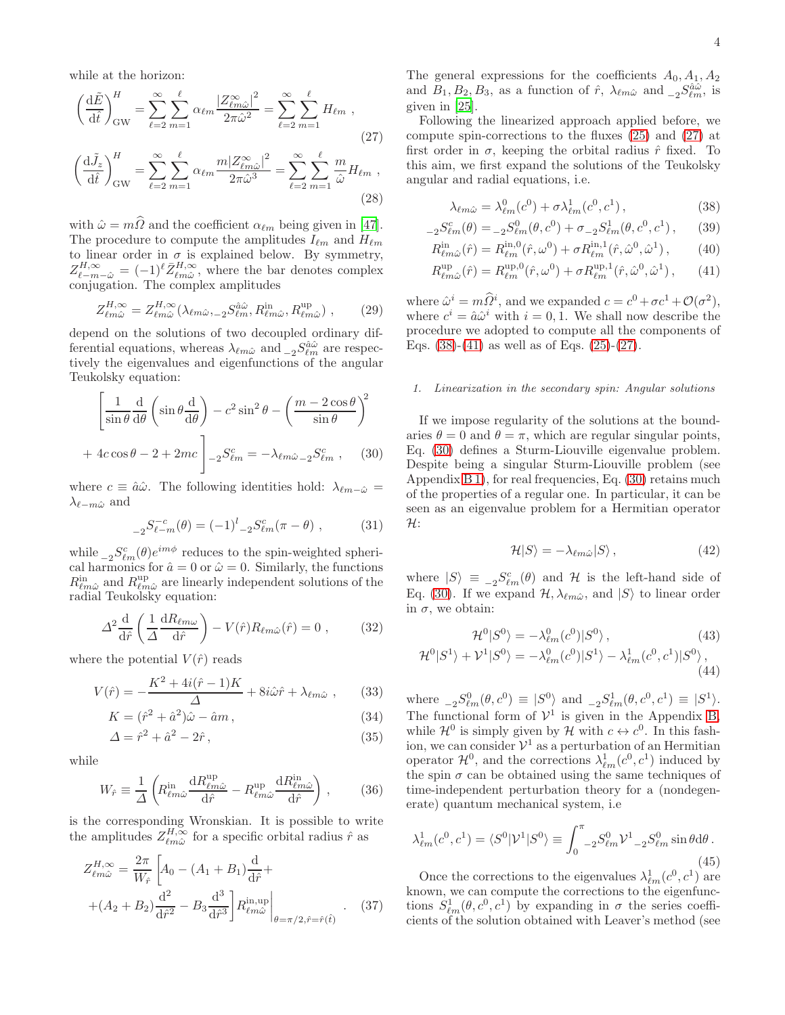while at the horizon:

$$
\left(\frac{\mathrm{d}\tilde{E}}{\mathrm{d}\hat{t}}\right)_{\text{GW}}^{H} = \sum_{\ell=2}^{\infty} \sum_{m=1}^{\ell} \alpha_{\ell m} \frac{|Z_{\ell m \hat{\omega}}^{\infty}|^2}{2\pi \hat{\omega}^2} = \sum_{\ell=2}^{\infty} \sum_{m=1}^{\ell} H_{\ell m} ,
$$
\n(27)

$$
\left(\frac{\mathrm{d}\tilde{J}_z}{\mathrm{d}\hat{t}}\right)_{\text{GW}}^H = \sum_{\ell=2}^{\infty} \sum_{m=1}^{\ell} \alpha_{\ell m} \frac{m |Z_{\ell m \hat{\omega}}^{\infty}|^2}{2\pi \hat{\omega}^3} = \sum_{\ell=2}^{\infty} \sum_{m=1}^{\ell} \frac{m}{\hat{\omega}} H_{\ell m} ,
$$
\n(28)

with  $\hat{\omega} = m\hat{\Omega}$  and the coefficient  $\alpha_{\ell m}$  being given in [\[47\]](#page-18-23). The procedure to compute the amplitudes  $I_{\ell m}$  and  $H_{\ell m}$ to linear order in  $\sigma$  is explained below. By symmetry,  $Z_{\ell-m-\hat{\omega}}^{H,\infty} = (-1)^{\ell} \bar{Z}_{\ell m \hat{\omega}}^{H,\infty}$ , where the bar denotes complex conjugation. The complex amplitudes

$$
Z_{\ell m \hat{\omega}}^{H, \infty} = Z_{\ell m \hat{\omega}}^{H, \infty} (\lambda_{\ell m \hat{\omega}, -2} S_{\ell m}^{\hat{a} \hat{\omega}}, R_{\ell m \hat{\omega}}^{\text{in}}, R_{\ell m \hat{\omega}}^{\text{up}}) , \qquad (29)
$$

depend on the solutions of two decoupled ordinary differential equations, whereas  $\lambda_{\ell m \hat{\omega}}$  and  ${}_{-2} S^{\hat{a} \hat{\omega}}_{\ell m}$  are respectively the eigenvalues and eigenfunctions of the angular Teukolsky equation:

<span id="page-3-3"></span>
$$
\left[\frac{1}{\sin\theta} \frac{d}{d\theta} \left(\sin\theta \frac{d}{d\theta}\right) - c^2 \sin^2\theta - \left(\frac{m - 2\cos\theta}{\sin\theta}\right)^2 + 4c\cos\theta - 2 + 2mc\right]_{-2} S_{\ell m}^c = -\lambda_{\ell m \hat{\omega}_{-2}} S_{\ell m}^c , \quad (30)
$$

where  $c \equiv \hat{a}\hat{\omega}$ . The following identities hold:  $\lambda_{\ell m-\hat{\omega}}=$  $\lambda_{\ell-m\hat{\omega}}$  and

$$
{}_{-2}S_{\ell-m}^{-c}(\theta) = (-1)^{l} {}_{-2}S_{\ell m}^{c}(\pi - \theta) , \qquad (31)
$$

while  ${}_{-2}S^c_{\ell m}(\theta)e^{im\phi}$  reduces to the spin-weighted spherical harmonics for  $\hat{a} = 0$  or  $\hat{\omega} = 0$ . Similarly, the functions  $R_{\ell m \hat{\omega}}^{\text{in}}$  and  $R_{\ell m \hat{\omega}}^{\text{up}}$  are linearly independent solutions of the radial Teukolsky equation:

<span id="page-3-4"></span>
$$
\Delta^2 \frac{\mathrm{d}}{\mathrm{d}\hat{r}} \left( \frac{1}{\Delta} \frac{\mathrm{d}R_{\ell m \omega}}{\mathrm{d}\hat{r}} \right) - V(\hat{r}) R_{\ell m \hat{\omega}}(\hat{r}) = 0 , \qquad (32)
$$

where the potential  $V(\hat{r})$  reads

$$
V(\hat{r}) = -\frac{K^2 + 4i(\hat{r} - 1)K}{\Delta} + 8i\hat{\omega}\hat{r} + \lambda_{\ell m\hat{\omega}} ,\qquad(33)
$$

$$
K = (\hat{r}^2 + \hat{a}^2)\hat{\omega} - \hat{a}m\,,\tag{34}
$$

$$
\Delta = \hat{r}^2 + \hat{a}^2 - 2\hat{r},\tag{35}
$$

while

$$
W_{\hat{r}} \equiv \frac{1}{\Delta} \left( R_{\ell m \hat{\omega}}^{\text{in}} \frac{\mathrm{d}R_{\ell m \hat{\omega}}^{\text{up}}}{\mathrm{d}\hat{r}} - R_{\ell m \hat{\omega}}^{\text{up}} \frac{\mathrm{d}R_{\ell m \hat{\omega}}^{\text{in}}}{\mathrm{d}\hat{r}} \right) ,\qquad(36)
$$

is the corresponding Wronskian. It is possible to write the amplitudes  $Z_{\ell m\hat{\omega}}^{H,\infty}$  for a specific orbital radius  $\hat{r}$  as

$$
Z_{\ell m \hat{\omega}}^{H, \infty} = \frac{2\pi}{W_{\hat{r}}} \left[ A_0 - (A_1 + B_1) \frac{d}{d\hat{r}} + (A_2 + B_2) \frac{d^2}{d\hat{r}^2} - B_3 \frac{d^3}{d\hat{r}^3} \right] R_{\ell m \hat{\omega}}^{in, up} \Big|_{\theta = \pi/2, \hat{r} = \hat{r}(\hat{t})} . \quad (37)
$$

The general expressions for the coefficients  $A_0, A_1, A_2$ and  $B_1, B_2, B_3$ , as a function of  $\hat{r}$ ,  $\lambda_{\ell m \hat{\omega}}$  and  ${}_{-2} S_{\ell m}^{\hat{a} \hat{\omega}}$ , is given in [\[25](#page-18-2)].

<span id="page-3-0"></span>Following the linearized approach applied before, we compute spin-corrections to the fluxes [\(25\)](#page-2-2) and [\(27\)](#page-3-0) at first order in  $\sigma$ , keeping the orbital radius  $\hat{r}$  fixed. To this aim, we first expand the solutions of the Teukolsky angular and radial equations, i.e.

<span id="page-3-2"></span><span id="page-3-1"></span>
$$
\lambda_{\ell m \hat{\omega}} = \lambda_{\ell m}^0(c^0) + \sigma \lambda_{\ell m}^1(c^0, c^1) , \qquad (38)
$$

$$
{}_{-2}S_{\ell m}^c(\theta) = {}_{-2}S_{\ell m}^0(\theta, c^0) + \sigma {}_{-2}S_{\ell m}^1(\theta, c^0, c^1) ,\qquad (39)
$$

$$
R_{\ell m\hat{\omega}}^{\text{in}}(\hat{r}) = R_{\ell m}^{\text{in},0}(\hat{r},\omega^0) + \sigma R_{\ell m}^{\text{in},1}(\hat{r},\hat{\omega}^0,\hat{\omega}^1),\tag{40}
$$

$$
R_{\ell m\hat{\omega}}^{\text{up}}(\hat{r}) = R_{\ell m}^{\text{up},0}(\hat{r}, \omega^0) + \sigma R_{\ell m}^{\text{up},1}(\hat{r}, \hat{\omega}^0, \hat{\omega}^1) ,\qquad(41)
$$

where  $\hat{\omega}^i = m \hat{\Omega}^i$ , and we expanded  $c = c^0 + \sigma c^1 + \mathcal{O}(\sigma^2)$ , where  $c^i = \hat{a}\hat{\omega}^i$  with  $i = 0, 1$ . We shall now describe the procedure we adopted to compute all the components of Eqs.  $(38)-(41)$  $(38)-(41)$  as well as of Eqs.  $(25)-(27)$  $(25)-(27)$ .

## *1. Linearization in the secondary spin: Angular solutions*

If we impose regularity of the solutions at the boundaries  $\theta = 0$  and  $\theta = \pi$ , which are regular singular points, Eq. [\(30\)](#page-3-3) defines a Sturm-Liouville eigenvalue problem. Despite being a singular Sturm-Liouville problem (see Appendix [B 1\)](#page-12-1), for real frequencies, Eq. [\(30\)](#page-3-3) retains much of the properties of a regular one. In particular, it can be seen as an eigenvalue problem for a Hermitian operator  $\mathcal{H}$ :

$$
\mathcal{H}|S\rangle = -\lambda_{\ell m\hat{\omega}}|S\rangle, \qquad (42)
$$

where  $|S\rangle = {}_{-2}S_{\ell m}^c(\theta)$  and H is the left-hand side of Eq. [\(30\)](#page-3-3). If we expand  $\mathcal{H}, \lambda_{\ell m \hat{\omega}}$ , and  $|S\rangle$  to linear order in σ, we obtain:

$$
\mathcal{H}^0|S^0\rangle = -\lambda^0_{\ell m}(c^0)|S^0\rangle\,,\tag{43}
$$

$$
\mathcal{H}^{0}|S^{1}\rangle + \mathcal{V}^{1}|S^{0}\rangle = -\lambda_{\ell m}^{0}(c^{0})|S^{1}\rangle - \lambda_{\ell m}^{1}(c^{0}, c^{1})|S^{0}\rangle, \tag{44}
$$

where  ${}_{-2}S^0_{\ell m}(\theta, c^0) \equiv |S^0\rangle$  and  ${}_{-2}S^1_{\ell m}(\theta, c^0, c^1) \equiv |S^1\rangle$ . The functional form of  $\mathcal{V}^1$  is given in the Appendix [B,](#page-12-0) while  $\mathcal{H}^0$  is simply given by  $\mathcal{H}$  with  $c \leftrightarrow c^0$ . In this fashion, we can consider  $V^1$  as a perturbation of an Hermitian operator  $\mathcal{H}^0$ , and the corrections  $\lambda_{\ell m}^1(c^0, c^1)$  induced by the spin  $\sigma$  can be obtained using the same techniques of time-independent perturbation theory for a (nondegenerate) quantum mechanical system, i.e

$$
\lambda_{\ell m}^1(c^0, c^1) = \langle S^0 | \mathcal{V}^1 | S^0 \rangle \equiv \int_0^{\pi} {}_{-2} S^0_{\ell m} \mathcal{V}^1{}_{-2} S^0_{\ell m} \sin \theta \, d\theta \,. \tag{45}
$$

<span id="page-3-5"></span>Once the corrections to the eigenvalues  $\lambda_{\ell m}^1(c^0,c^1)$  are known, we can compute the corrections to the eigenfunctions  $S^1_{\ell m}(\theta, c^0, c^1)$  by expanding in  $\sigma$  the series coefficients of the solution obtained with Leaver's method (see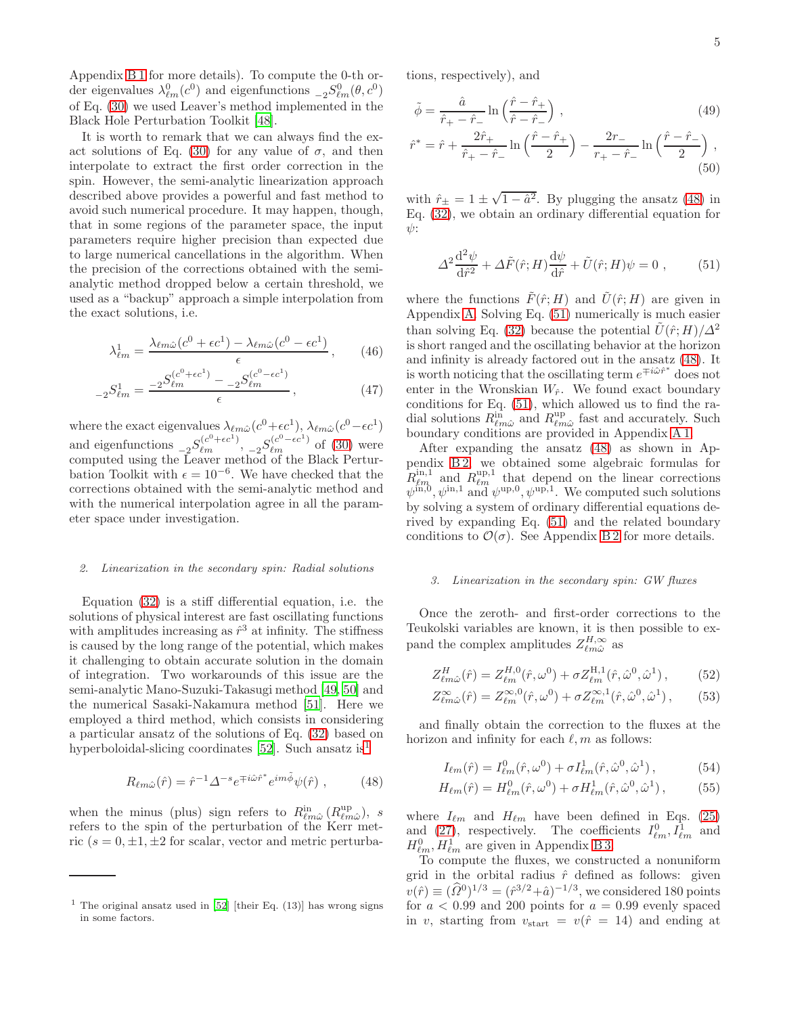Appendix [B 1](#page-12-1) for more details). To compute the 0-th order eigenvalues  $\lambda_{\ell m}^0(c^0)$  and eigenfunctions  ${}_{-2}S_{\ell m}^0(\theta, c^0)$ of Eq. [\(30\)](#page-3-3) we used Leaver's method implemented in the Black Hole Perturbation Toolkit [\[48\]](#page-18-24).

It is worth to remark that we can always find the ex-act solutions of Eq. [\(30\)](#page-3-3) for any value of  $\sigma$ , and then interpolate to extract the first order correction in the spin. However, the semi-analytic linearization approach described above provides a powerful and fast method to avoid such numerical procedure. It may happen, though, that in some regions of the parameter space, the input parameters require higher precision than expected due to large numerical cancellations in the algorithm. When the precision of the corrections obtained with the semianalytic method dropped below a certain threshold, we used as a "backup" approach a simple interpolation from the exact solutions, i.e.

$$
\lambda_{\ell m}^1 = \frac{\lambda_{\ell m \hat{\omega}}(c^0 + \epsilon c^1) - \lambda_{\ell m \hat{\omega}}(c^0 - \epsilon c^1)}{\epsilon}, \qquad (46)
$$

$$
{}_{-2}S^{1}_{\ell m} = \frac{-2S^{(c^0 + \epsilon c^1)}_{\ell m} - 2S^{(c^0 - \epsilon c^1)}_{\ell m}}{\epsilon}, \qquad (47)
$$

where the exact eigenvalues  $\lambda_{\ell m \hat{\omega}}(c^0 + \epsilon c^1), \lambda_{\ell m \hat{\omega}}(c^0 - \epsilon c^1)$ and eigenfunctions  ${}_{-2}S^{(c^0+\epsilon c^1)}_{\ell m}$ ,  ${}_{-2}S^{(c^0-\epsilon c^1)}_{\ell m}$  of [\(30\)](#page-3-3) were computed using the Leaver method of the Black Perturbation Toolkit with  $\epsilon = 10^{-6}$ . We have checked that the corrections obtained with the semi-analytic method and with the numerical interpolation agree in all the parameter space under investigation.

#### *2. Linearization in the secondary spin: Radial solutions*

Equation [\(32\)](#page-3-4) is a stiff differential equation, i.e. the solutions of physical interest are fast oscillating functions with amplitudes increasing as  $\hat{r}^3$  at infinity. The stiffness is caused by the long range of the potential, which makes it challenging to obtain accurate solution in the domain of integration. Two workarounds of this issue are the semi-analytic Mano-Suzuki-Takasugi method [\[49,](#page-18-25) [50\]](#page-18-26) and the numerical Sasaki-Nakamura method [\[51](#page-19-0)]. Here we employed a third method, which consists in considering a particular ansatz of the solutions of Eq. [\(32\)](#page-3-4) based on hyperboloidal-slicing coordinates [\[52\]](#page-19-1). Such ansatz  $is<sup>1</sup>$  $is<sup>1</sup>$  $is<sup>1</sup>$ 

<span id="page-4-1"></span>
$$
R_{\ell m\hat{\omega}}(\hat{r}) = \hat{r}^{-1} \Delta^{-s} e^{\mp i\hat{\omega}\hat{r}^*} e^{im\tilde{\phi}} \psi(\hat{r}) , \qquad (48)
$$

when the minus (plus) sign refers to  $R_{\ell m \hat{\omega}}^{\text{in}}(R_{\ell m \hat{\omega}}^{\text{up}})$ , s refers to the spin of the perturbation of the Kerr metric  $(s = 0, \pm 1, \pm 2$  for scalar, vector and metric perturbations, respectively), and

$$
\tilde{\phi} = \frac{\hat{a}}{\hat{r}_+ - \hat{r}_-} \ln\left(\frac{\hat{r} - \hat{r}_+}{\hat{r} - \hat{r}_-}\right),\tag{49}
$$
\n
$$
\hat{r}^* = \hat{r} + \frac{2\hat{r}_+}{\hat{r} - \hat{r}_-} \ln\left(\frac{\hat{r} - \hat{r}_+}{\hat{r} - \hat{r}_-}\right) - \frac{2r_-}{\hat{r} - \hat{r}_-} \ln\left(\frac{\hat{r} - \hat{r}_-}{\hat{r} - \hat{r}_-}\right),
$$

$$
\hat{r}^* = \hat{r} + \frac{2t + \hat{r}}{\hat{r} + \hat{r} - \hat{r}} \ln\left(\frac{t - t + \hat{r}}{2}\right) - \frac{2t - \hat{r}}{r + \hat{r} - \hat{r}} \ln\left(\frac{t - t - \hat{r}}{2}\right),\tag{50}
$$

with  $\hat{r}_{\pm} = 1 \pm \sqrt{1 - \hat{a}^2}$ . By plugging the ansatz [\(48\)](#page-4-1) in Eq. [\(32\)](#page-3-4), we obtain an ordinary differential equation for  $\psi$ :

<span id="page-4-2"></span>
$$
\Delta^2 \frac{\mathrm{d}^2 \psi}{\mathrm{d}\hat{r}^2} + \Delta \tilde{F}(\hat{r}; H) \frac{\mathrm{d}\psi}{\mathrm{d}\hat{r}} + \tilde{U}(\hat{r}; H) \psi = 0 , \qquad (51)
$$

where the functions  $\tilde{F}(\hat{r}; H)$  and  $\tilde{U}(\hat{r}; H)$  are given in Appendix [A.](#page-10-0) Solving Eq. [\(51\)](#page-4-2) numerically is much easier than solving Eq. [\(32\)](#page-3-4) because the potential  $\tilde{U}(\hat{r};H)/\Delta^2$ is short ranged and the oscillating behavior at the horizon and infinity is already factored out in the ansatz [\(48\)](#page-4-1). It is worth noticing that the oscillating term  $e^{\mp i\hat{\omega}\hat{r}^*}$  does not enter in the Wronskian  $W_{\hat{r}}$ . We found exact boundary conditions for Eq. [\(51\)](#page-4-2), which allowed us to find the radial solutions  $R_{\ell m\hat{\omega}}^{in}$  and  $R_{\ell m\hat{\omega}}^{up}$  fast and accurately. Such boundary conditions are provided in Appendix [A 1.](#page-11-0)

After expanding the ansatz [\(48\)](#page-4-1) as shown in Appendix [B 2,](#page-14-0) we obtained some algebraic formulas for  $R_{\ell m}^{\text{in},1}$  and  $R_{\ell m}^{\text{up},1}$  that depend on the linear corrections  $\psi^{\text{in},0}, \psi^{\text{in},1}$  and  $\psi^{\text{up},0}, \psi^{\text{up},1}$ . We computed such solutions by solving a system of ordinary differential equations derived by expanding Eq. [\(51\)](#page-4-2) and the related boundary conditions to  $\mathcal{O}(\sigma)$ . See Appendix [B 2](#page-14-0) for more details.

## *3. Linearization in the secondary spin: GW fluxes*

Once the zeroth- and first-order corrections to the Teukolski variables are known, it is then possible to expand the complex amplitudes  $Z_{\ell m \hat{\omega}}^{H,\infty}$  as

$$
Z_{\ell m \hat{\omega}}^H(\hat{r}) = Z_{\ell m}^{H,0}(\hat{r}, \omega^0) + \sigma Z_{\ell m}^{H,1}(\hat{r}, \hat{\omega}^0, \hat{\omega}^1), \quad (52)
$$

$$
Z_{\ell m \hat{\omega}}^{\infty}(\hat{r}) = Z_{\ell m}^{\infty,0}(\hat{r}, \omega^0) + \sigma Z_{\ell m}^{\infty,1}(\hat{r}, \hat{\omega}^0, \hat{\omega}^1) ,\qquad(53)
$$

and finally obtain the correction to the fluxes at the horizon and infinity for each  $\ell, m$  as follows:

<span id="page-4-4"></span><span id="page-4-3"></span>
$$
I_{\ell m}(\hat{r}) = I_{\ell m}^0(\hat{r}, \omega^0) + \sigma I_{\ell m}^1(\hat{r}, \hat{\omega}^0, \hat{\omega}^1) ,\qquad (54)
$$

$$
H_{\ell m}(\hat{r}) = H_{\ell m}^{0}(\hat{r}, \omega^{0}) + \sigma H_{\ell m}^{1}(\hat{r}, \hat{\omega}^{0}, \hat{\omega}^{1}), \qquad (55)
$$

where  $I_{\ell m}$  and  $H_{\ell m}$  have been defined in Eqs. [\(25\)](#page-2-2) and [\(27\)](#page-3-0), respectively. The coefficients  $I_{\ell m}^0, I_{\ell m}^1$  and  $H_{\ell m}^0, H_{\ell m}^1$  are given in Appendix [B 3.](#page-15-0)

To compute the fluxes, we constructed a nonuniform grid in the orbital radius  $\hat{r}$  defined as follows: given  $v(\hat{r}) \equiv (\hat{\Omega}^0)^{1/3} = (\hat{r}^{3/2} + \hat{a})^{-1/3}$ , we considered 180 points for  $a < 0.99$  and 200 points for  $a = 0.99$  evenly spaced in v, starting from  $v_{\text{start}} = v(\hat{r} = 14)$  and ending at

<span id="page-4-0"></span><sup>&</sup>lt;sup>1</sup> The original ansatz used in  $[52]$  [their Eq. (13)] has wrong signs in some factors.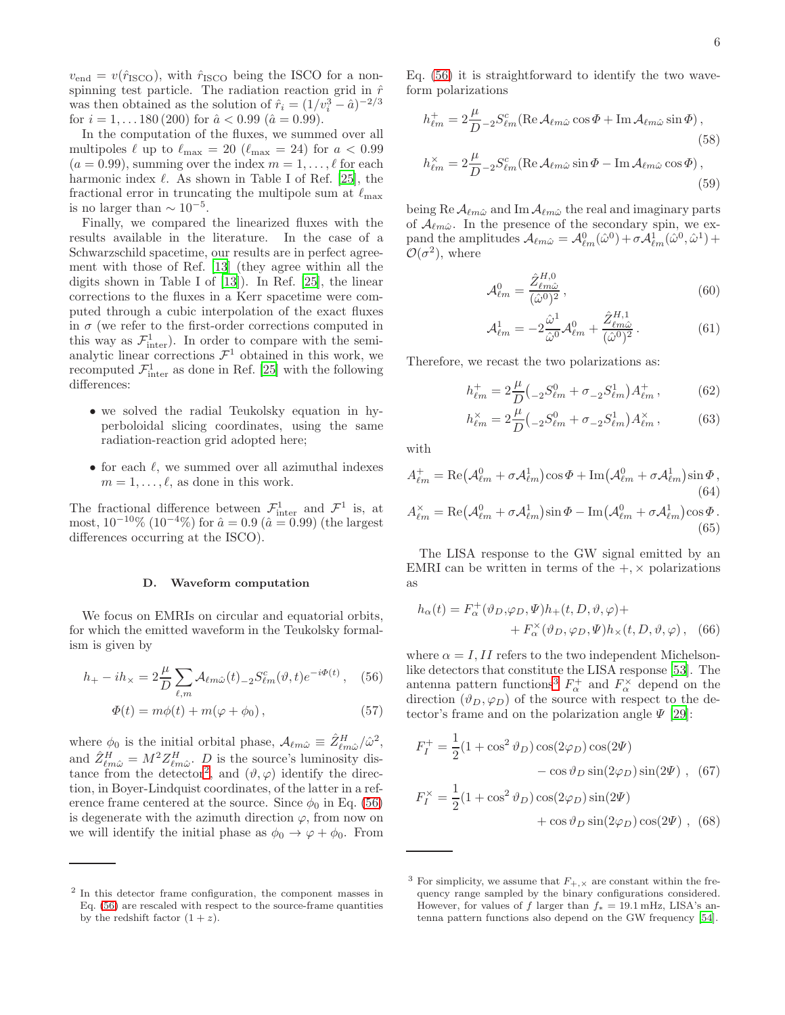$v_{\text{end}} = v(\hat{r}_{\text{ISCO}})$ , with  $\hat{r}_{\text{ISCO}}$  being the ISCO for a nonspinning test particle. The radiation reaction grid in  $\hat{r}$ was then obtained as the solution of  $\hat{r}_i = (1/v_i^3 - \hat{a})^{-2/3}$ for  $i = 1, \ldots 180$  (200) for  $\hat{a} < 0.99$  ( $\hat{a} = 0.99$ ).

In the computation of the fluxes, we summed over all multipoles  $\ell$  up to  $\ell_{\text{max}} = 20$  ( $\ell_{\text{max}} = 24$ ) for  $a < 0.99$  $(a = 0.99)$ , summing over the index  $m = 1, \ldots, \ell$  for each harmonic index  $\ell$ . As shown in Table I of Ref. [\[25\]](#page-18-2), the fractional error in truncating the multipole sum at  $\ell_{\text{max}}$ is no larger than  $\sim 10^{-5}$ .

Finally, we compared the linearized fluxes with the results available in the literature. In the case of a Schwarzschild spacetime, our results are in perfect agreement with those of Ref. [\[13\]](#page-17-9) (they agree within all the digits shown in Table I of [\[13\]](#page-17-9)). In Ref. [\[25\]](#page-18-2), the linear corrections to the fluxes in a Kerr spacetime were computed through a cubic interpolation of the exact fluxes in  $\sigma$  (we refer to the first-order corrections computed in this way as  $\mathcal{F}^1_{\text{inter}}$ ). In order to compare with the semianalytic linear corrections  $\mathcal{F}^1$  obtained in this work, we recomputed  $\mathcal{F}^1_{\text{inter}}$  as done in Ref. [\[25](#page-18-2)] with the following differences:

- we solved the radial Teukolsky equation in hyperboloidal slicing coordinates, using the same radiation-reaction grid adopted here;
- for each  $\ell$ , we summed over all azimuthal indexes  $m = 1, \ldots, \ell$ , as done in this work.

The fractional difference between  $\mathcal{F}^1_{\text{inter}}$  and  $\mathcal{F}^1$  is, at most,  $10^{-10}\%$  ( $10^{-4}\%$ ) for  $\hat{a} = 0.9$  ( $\hat{a} = 0.99$ ) (the largest differences occurring at the ISCO).

#### D. Waveform computation

We focus on EMRIs on circular and equatorial orbits, for which the emitted waveform in the Teukolsky formalism is given by

$$
h_{+} - ih_{\times} = 2\frac{\mu}{D} \sum_{\ell,m} \mathcal{A}_{\ell m \hat{\omega}}(t)_{-2} S_{\ell m}^{c}(\vartheta, t) e^{-i\Phi(t)}, \quad (56)
$$

$$
\Phi(t) = m\phi(t) + m(\varphi + \phi_0),\tag{57}
$$

where  $\phi_0$  is the initial orbital phase,  $\mathcal{A}_{\ell m \hat{\omega}} \equiv \hat{Z}_{\ell m \hat{\omega}}^H / \hat{\omega}^2$ , where  $\varphi_0$  is the finitial orbital phase,  $\mathcal{A}_{\ell m\omega} = \mathcal{D}_{\ell m\hat{\omega}}/\omega$ ,<br>and  $\hat{Z}_{\ell m\hat{\omega}}^H = M^2 Z_{\ell m\hat{\omega}}^H$ .  $D$  is the source's luminosity dis-tance from the detector<sup>[2](#page-5-0)</sup>, and  $(\vartheta, \varphi)$  identify the direction, in Boyer-Lindquist coordinates, of the latter in a reference frame centered at the source. Since  $\phi_0$  in Eq. [\(56\)](#page-5-1) is degenerate with the azimuth direction  $\varphi$ , from now on we will identify the initial phase as  $\phi_0 \rightarrow \varphi + \phi_0$ . From Eq. [\(56\)](#page-5-1) it is straightforward to identify the two waveform polarizations

$$
h_{\ell m}^{+} = 2 \frac{\mu}{D} {}_{-2} S_{\ell m}^{c} (\text{Re} \mathcal{A}_{\ell m \hat{\omega}} \cos \Phi + \text{Im} \mathcal{A}_{\ell m \hat{\omega}} \sin \Phi),
$$
\n
$$
h_{\ell m}^{\times} = 2 \frac{\mu}{D} {}_{-2} S_{\ell m}^{c} (\text{Re} \mathcal{A}_{\ell m \hat{\omega}} \sin \Phi - \text{Im} \mathcal{A}_{\ell m \hat{\omega}} \cos \Phi),
$$
\n
$$
(59)
$$

being Re  $A_{\ell m \hat{\omega}}$  and Im  $A_{\ell m \hat{\omega}}$  the real and imaginary parts of  $\mathcal{A}_{\ell m\hat{\omega}}$ . In the presence of the secondary spin, we expand the amplitudes  $\mathcal{A}_{\ell m \hat{\omega}} = \mathcal{A}_{\ell m}^0(\hat{\omega}^0) + \sigma \mathcal{A}_{\ell m}^1(\hat{\omega}^0, \hat{\omega}^1) +$  $\mathcal{O}(\sigma^2)$ , where

$$
\mathcal{A}_{\ell m}^0 = \frac{\hat{Z}_{\ell m \hat{\omega}}^{H,0}}{(\hat{\omega}^0)^2},\tag{60}
$$

$$
\mathcal{A}_{\ell m}^1 = -2 \frac{\hat{\omega}^1}{\hat{\omega}^0} \mathcal{A}_{\ell m}^0 + \frac{\hat{Z}_{\ell m \hat{\omega}}^{H,1}}{(\hat{\omega}^0)^2} \,. \tag{61}
$$

Therefore, we recast the two polarizations as:

$$
h_{\ell m}^{+} = 2\frac{\mu}{D} \left( {}_{-2}S_{\ell m}^{0} + \sigma_{-2}S_{\ell m}^{1} \right) A_{\ell m}^{+}, \tag{62}
$$

$$
h_{\ell m}^{\times} = 2 \frac{\mu}{D} \left( {}_{-2} S^0_{\ell m} + \sigma {}_{-2} S^1_{\ell m} \right) A_{\ell m}^{\times} ,\qquad (63)
$$

with

$$
A_{\ell m}^{+} = \text{Re}\left(\mathcal{A}_{\ell m}^{0} + \sigma \mathcal{A}_{\ell m}^{1}\right) \cos \Phi + \text{Im}\left(\mathcal{A}_{\ell m}^{0} + \sigma \mathcal{A}_{\ell m}^{1}\right) \sin \Phi,
$$
\n(64)  
\n
$$
A_{\ell m}^{\times} = \text{Re}\left(\mathcal{A}_{\ell m}^{0} + \sigma \mathcal{A}_{\ell m}^{1}\right) \sin \Phi - \text{Im}\left(\mathcal{A}_{\ell m}^{0} + \sigma \mathcal{A}_{\ell m}^{1}\right) \cos \Phi.
$$
\n(65)

The LISA response to the GW signal emitted by an EMRI can be written in terms of the  $+$ ,  $\times$  polarizations as

<span id="page-5-3"></span>
$$
h_{\alpha}(t) = F_{\alpha}^{+}(\vartheta_{D}, \varphi_{D}, \Psi)h_{+}(t, D, \vartheta, \varphi) ++ F_{\alpha}^{x}(\vartheta_{D}, \varphi_{D}, \Psi)h_{x}(t, D, \vartheta, \varphi),
$$
 (66)

<span id="page-5-1"></span>where  $\alpha = I, II$  refers to the two independent Michelsonlike detectors that constitute the LISA response [\[53](#page-19-2)]. The antenna pattern functions<sup>[3](#page-5-2)</sup>  $F^+_{\alpha}$  and  $F^{\times}_{\alpha}$  depend on the direction  $(\vartheta_D, \varphi_D)$  of the source with respect to the detector's frame and on the polarization angle  $\Psi$  [\[29](#page-18-11)]:

$$
F_I^+ = \frac{1}{2} (1 + \cos^2 \vartheta_D) \cos(2\varphi_D) \cos(2\Psi)
$$

$$
- \cos \vartheta_D \sin(2\varphi_D) \sin(2\Psi) , (67)
$$

$$
F_I^\times = \frac{1}{2} (1 + \cos^2 \vartheta_D) \cos(2\varphi_D) \sin(2\Psi)
$$

$$
+ \cos \vartheta_D \sin(2\varphi_D) \cos(2\Psi) , (68)
$$

<span id="page-5-0"></span><sup>2</sup> In this detector frame configuration, the component masses in Eq. [\(56\)](#page-5-1) are rescaled with respect to the source-frame quantities by the redshift factor  $(1 + z)$ .

<span id="page-5-2"></span><sup>&</sup>lt;sup>3</sup> For simplicity, we assume that  $F_{+,\times}$  are constant within the frequency range sampled by the binary configurations considered. However, for values of f larger than  $f_* = 19.1 \text{ mHz}$ , LISA's antenna pattern functions also depend on the GW frequency [\[54\]](#page-19-3).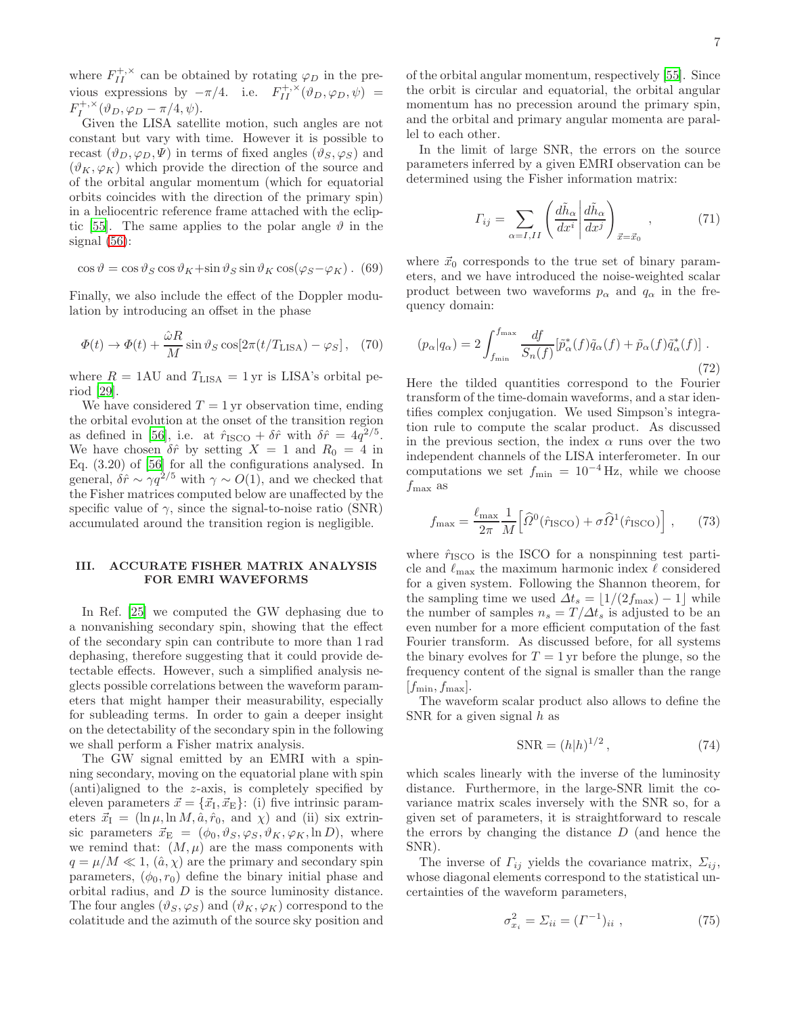where  $F_{II}^{+,\times}$  can be obtained by rotating  $\varphi_D$  in the previous expressions by  $-\pi/4$ . i.e.  $F_{II}^{+,\times}(\vartheta_D,\varphi_D,\psi) =$  $F_I^{+,\times}(\vartheta_D,\varphi_D-\pi/4,\psi).$ 

Given the LISA satellite motion, such angles are not constant but vary with time. However it is possible to recast  $(\vartheta_D, \varphi_D, \Psi)$  in terms of fixed angles  $(\vartheta_S, \varphi_S)$  and  $(\vartheta_K, \varphi_K)$  which provide the direction of the source and of the orbital angular momentum (which for equatorial orbits coincides with the direction of the primary spin) in a heliocentric reference frame attached with the eclip-tic [\[55](#page-19-4)]. The same applies to the polar angle  $\vartheta$  in the signal  $(56)$ :

$$
\cos \vartheta = \cos \vartheta_S \cos \vartheta_K + \sin \vartheta_S \sin \vartheta_K \cos(\varphi_S - \varphi_K). (69)
$$

Finally, we also include the effect of the Doppler modulation by introducing an offset in the phase

$$
\Phi(t) \to \Phi(t) + \frac{\hat{\omega}R}{M} \sin \vartheta_S \cos[2\pi(t/T_{\text{LISA}}) - \varphi_S], \quad (70)
$$

where  $R = 1 \text{AU}$  and  $T_{\text{LISA}} = 1 \text{ yr}$  is LISA's orbital period [\[29\]](#page-18-11).

We have considered  $T = 1$  yr observation time, ending the orbital evolution at the onset of the transition region as defined in [\[56](#page-19-5)], i.e. at  $\hat{r}_{\text{ISCO}} + \delta \hat{r}$  with  $\delta \hat{r} = 4q^{2/5}$ . We have chosen  $\delta \hat{r}$  by setting  $X = 1$  and  $R_0 = 4$  in Eq. (3.20) of [\[56\]](#page-19-5) for all the configurations analysed. In general,  $\delta \hat{r} \sim \gamma q^{2/5}$  with  $\gamma \sim O(1)$ , and we checked that the Fisher matrices computed below are unaffected by the specific value of  $\gamma$ , since the signal-to-noise ratio (SNR) accumulated around the transition region is negligible.

## <span id="page-6-0"></span>III. ACCURATE FISHER MATRIX ANALYSIS FOR EMRI WAVEFORMS

In Ref. [\[25](#page-18-2)] we computed the GW dephasing due to a nonvanishing secondary spin, showing that the effect of the secondary spin can contribute to more than 1 rad dephasing, therefore suggesting that it could provide detectable effects. However, such a simplified analysis neglects possible correlations between the waveform parameters that might hamper their measurability, especially for subleading terms. In order to gain a deeper insight on the detectability of the secondary spin in the following we shall perform a Fisher matrix analysis.

The GW signal emitted by an EMRI with a spinning secondary, moving on the equatorial plane with spin (anti)aligned to the z-axis, is completely specified by eleven parameters  $\vec{x} = {\vec{x}_I, \vec{x}_E}$ : (i) five intrinsic parameters  $\vec{x}_I = (\ln \mu, \ln M, \hat{a}, \hat{r}_0, \text{ and } \chi)$  and (ii) six extrinsic parameters  $\vec{x}_E = (\phi_0, \vartheta_S, \varphi_S, \vartheta_K, \varphi_K, \ln D)$ , where we remind that:  $(M, \mu)$  are the mass components with  $q = \mu/M \ll 1$ ,  $(\hat{a}, \chi)$  are the primary and secondary spin parameters,  $(\phi_0, r_0)$  define the binary initial phase and orbital radius, and D is the source luminosity distance. The four angles  $(\vartheta_S, \varphi_S)$  and  $(\vartheta_K, \varphi_K)$  correspond to the colatitude and the azimuth of the source sky position and

of the orbital angular momentum, respectively [\[55\]](#page-19-4). Since the orbit is circular and equatorial, the orbital angular momentum has no precession around the primary spin, and the orbital and primary angular momenta are parallel to each other.

In the limit of large SNR, the errors on the source parameters inferred by a given EMRI observation can be determined using the Fisher information matrix:

$$
\Gamma_{ij} = \sum_{\alpha=I,II} \left( \frac{d\tilde{h}_{\alpha}}{dx^i} \middle| \frac{d\tilde{h}_{\alpha}}{dx^j} \right)_{\vec{x} = \vec{x}_0}, \tag{71}
$$

where  $\vec{x}_0$  corresponds to the true set of binary parameters, and we have introduced the noise-weighted scalar product between two waveforms  $p_{\alpha}$  and  $q_{\alpha}$  in the frequency domain:

<span id="page-6-2"></span>
$$
(p_{\alpha}|q_{\alpha}) = 2 \int_{f_{\min}}^{f_{\max}} \frac{df}{S_n(f)} [\tilde{p}_{\alpha}^*(f)\tilde{q}_{\alpha}(f) + \tilde{p}_{\alpha}(f)\tilde{q}_{\alpha}^*(f)] .
$$
\n(72)

Here the tilded quantities correspond to the Fourier transform of the time-domain waveforms, and a star identifies complex conjugation. We used Simpson's integration rule to compute the scalar product. As discussed in the previous section, the index  $\alpha$  runs over the two independent channels of the LISA interferometer. In our computations we set  $f_{\text{min}} = 10^{-4}$  Hz, while we choose  $f_{\rm max}$  as

$$
f_{\text{max}} = \frac{\ell_{\text{max}}}{2\pi} \frac{1}{M} \left[ \widehat{\Omega}^0(\hat{r}_{\text{ISCO}}) + \sigma \widehat{\Omega}^1(\hat{r}_{\text{ISCO}}) \right],\qquad(73)
$$

where  $\hat{r}_{\text{ISCO}}$  is the ISCO for a nonspinning test particle and  $\ell_{\rm max}$  the maximum harmonic index  $\ell$  considered for a given system. Following the Shannon theorem, for the sampling time we used  $\Delta t_s = |1/(2f_{\text{max}})-1|$  while the number of samples  $n_s = T/\Delta t_s$  is adjusted to be an even number for a more efficient computation of the fast Fourier transform. As discussed before, for all systems the binary evolves for  $T = 1$  yr before the plunge, so the frequency content of the signal is smaller than the range  $|f_{\min}, f_{\max}|.$ 

The waveform scalar product also allows to define the SNR for a given signal h as

$$
\text{SNR} = (h|h)^{1/2},\tag{74}
$$

which scales linearly with the inverse of the luminosity distance. Furthermore, in the large-SNR limit the covariance matrix scales inversely with the SNR so, for a given set of parameters, it is straightforward to rescale the errors by changing the distance  $D$  (and hence the SNR).

The inverse of  $\Gamma_{ij}$  yields the covariance matrix,  $\Sigma_{ij}$ , whose diagonal elements correspond to the statistical uncertainties of the waveform parameters,

<span id="page-6-1"></span>
$$
\sigma_{x_i}^2 = \Sigma_{ii} = (\Gamma^{-1})_{ii} , \qquad (75)
$$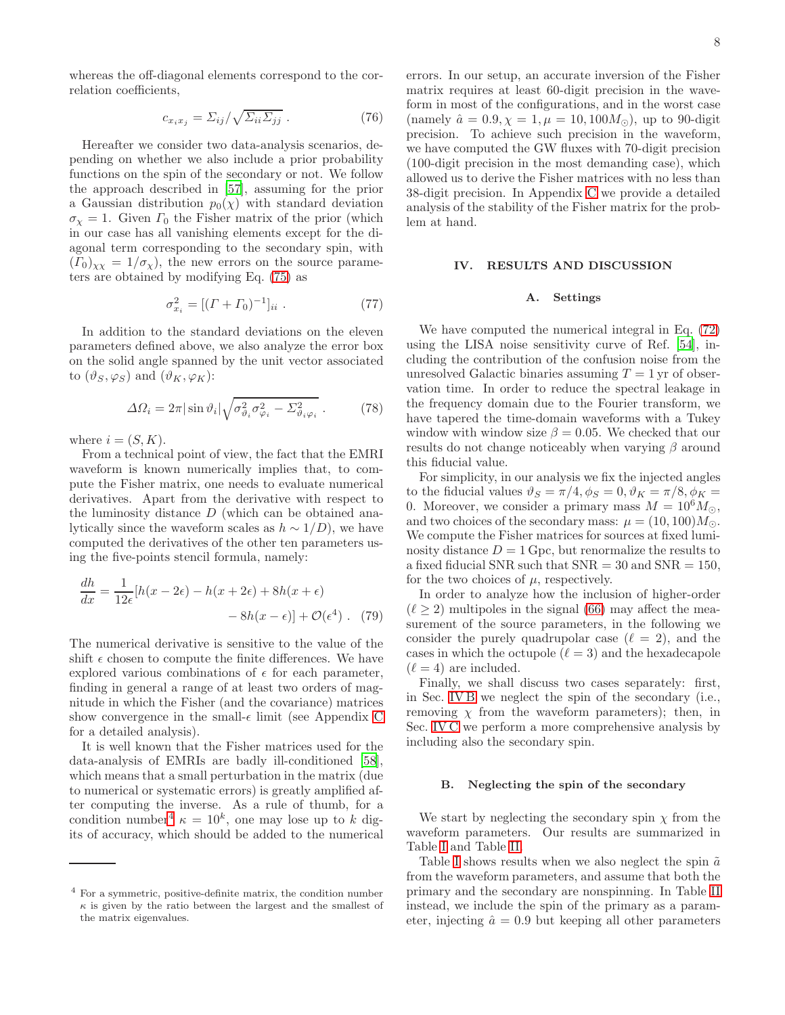whereas the off-diagonal elements correspond to the correlation coefficients,

$$
c_{x_ix_j} = \Sigma_{ij} / \sqrt{\Sigma_{ii}\Sigma_{jj}} . \tag{76}
$$

Hereafter we consider two data-analysis scenarios, depending on whether we also include a prior probability functions on the spin of the secondary or not. We follow the approach described in [\[57\]](#page-19-6), assuming for the prior a Gaussian distribution  $p_0(\chi)$  with standard deviation  $\sigma_{\chi} = 1$ . Given  $\Gamma_0$  the Fisher matrix of the prior (which in our case has all vanishing elements except for the diagonal term corresponding to the secondary spin, with  $(T_0)_{\chi\chi} = 1/\sigma_{\chi}$ , the new errors on the source parameters are obtained by modifying Eq. [\(75\)](#page-6-1) as

$$
\sigma_{x_i}^2 = [(T + \Gamma_0)^{-1}]_{ii} . \tag{77}
$$

In addition to the standard deviations on the eleven parameters defined above, we also analyze the error box on the solid angle spanned by the unit vector associated to  $(\vartheta_S, \varphi_S)$  and  $(\vartheta_K, \varphi_K)$ :

$$
\Delta\Omega_i = 2\pi |\sin \vartheta_i| \sqrt{\sigma_{\vartheta_i}^2 \sigma_{\varphi_i}^2 - \Sigma_{\vartheta_i \varphi_i}^2} \ . \tag{78}
$$

where  $i = (S, K)$ .

From a technical point of view, the fact that the EMRI waveform is known numerically implies that, to compute the Fisher matrix, one needs to evaluate numerical derivatives. Apart from the derivative with respect to the luminosity distance  $D$  (which can be obtained analytically since the waveform scales as  $h \sim 1/D$ , we have computed the derivatives of the other ten parameters using the five-points stencil formula, namely:

$$
\frac{dh}{dx} = \frac{1}{12\epsilon} [h(x - 2\epsilon) - h(x + 2\epsilon) + 8h(x + \epsilon) - 8h(x - \epsilon)] + \mathcal{O}(\epsilon^4).
$$
 (79)

The numerical derivative is sensitive to the value of the shift  $\epsilon$  chosen to compute the finite differences. We have explored various combinations of  $\epsilon$  for each parameter, finding in general a range of at least two orders of magnitude in which the Fisher (and the covariance) matrices show convergence in the small- $\epsilon$  limit (see Appendix [C](#page-16-0) for a detailed analysis).

It is well known that the Fisher matrices used for the data-analysis of EMRIs are badly ill-conditioned [\[58\]](#page-19-7), which means that a small perturbation in the matrix (due to numerical or systematic errors) is greatly amplified after computing the inverse. As a rule of thumb, for a condition number<sup>[4](#page-7-1)</sup>  $\kappa = 10^k$ , one may lose up to k digits of accuracy, which should be added to the numerical

errors. In our setup, an accurate inversion of the Fisher matrix requires at least 60-digit precision in the waveform in most of the configurations, and in the worst case (namely  $\hat{a} = 0.9, \chi = 1, \mu = 10, 100 M_{\odot}$ ), up to 90-digit precision. To achieve such precision in the waveform, we have computed the GW fluxes with 70-digit precision (100-digit precision in the most demanding case), which allowed us to derive the Fisher matrices with no less than 38-digit precision. In Appendix [C](#page-16-0) we provide a detailed analysis of the stability of the Fisher matrix for the problem at hand.

### <span id="page-7-0"></span>IV. RESULTS AND DISCUSSION

### A. Settings

We have computed the numerical integral in Eq. [\(72\)](#page-6-2) using the LISA noise sensitivity curve of Ref. [\[54](#page-19-3)], including the contribution of the confusion noise from the unresolved Galactic binaries assuming  $T = 1$  yr of observation time. In order to reduce the spectral leakage in the frequency domain due to the Fourier transform, we have tapered the time-domain waveforms with a Tukey window with window size  $\beta = 0.05$ . We checked that our results do not change noticeably when varying  $\beta$  around this fiducial value.

For simplicity, in our analysis we fix the injected angles to the fiducial values  $\vartheta_S = \pi/4, \phi_S = 0, \vartheta_K = \pi/8, \phi_K =$ 0. Moreover, we consider a primary mass  $M = 10^6 M_{\odot}$ , and two choices of the secondary mass:  $\mu = (10, 100)M_{\odot}$ . We compute the Fisher matrices for sources at fixed luminosity distance  $D = 1$  Gpc, but renormalize the results to a fixed fiducial SNR such that  $SNR = 30$  and  $SNR = 150$ , for the two choices of  $\mu$ , respectively.

In order to analyze how the inclusion of higher-order  $(\ell > 2)$  multipoles in the signal [\(66\)](#page-5-3) may affect the measurement of the source parameters, in the following we consider the purely quadrupolar case  $(\ell = 2)$ , and the cases in which the octupole  $(\ell = 3)$  and the hexadecapole  $(\ell = 4)$  are included.

Finally, we shall discuss two cases separately: first, in Sec. [IV B](#page-7-2) we neglect the spin of the secondary (i.e., removing  $\chi$  from the waveform parameters); then, in Sec. [IV C](#page-8-0) we perform a more comprehensive analysis by including also the secondary spin.

#### <span id="page-7-2"></span>B. Neglecting the spin of the secondary

We start by neglecting the secondary spin  $\chi$  from the waveform parameters. Our results are summarized in Table [I](#page-8-1) and Table [II.](#page-8-2)

Table [I](#page-8-1) shows results when we also neglect the spin  $\tilde{a}$ from the waveform parameters, and assume that both the primary and the secondary are nonspinning. In Table [II](#page-8-2) instead, we include the spin of the primary as a parameter, injecting  $\hat{a} = 0.9$  but keeping all other parameters

<span id="page-7-1"></span><sup>4</sup> For a symmetric, positive-definite matrix, the condition number  $\kappa$  is given by the ratio between the largest and the smallest of the matrix eigenvalues.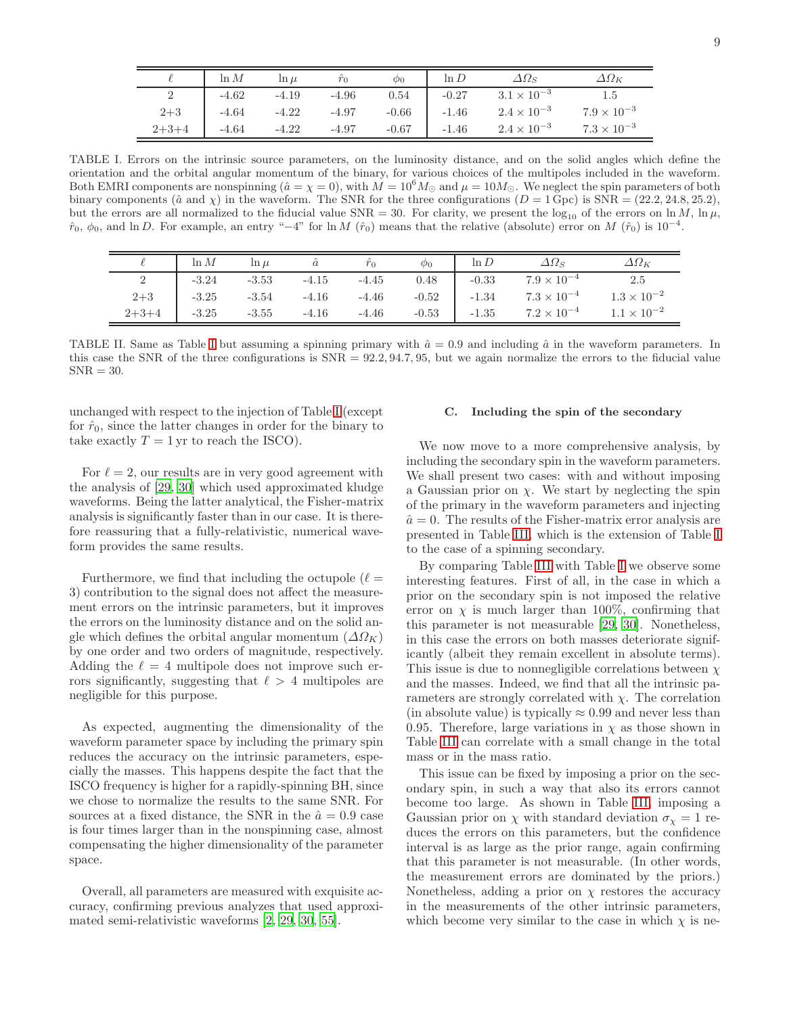|         | $\ln M$ | $\ln \mu$ |         | $\varphi_0$ | $\ln D$ | $\Delta\Omega_S$     | $\Delta\Omega_K$     |
|---------|---------|-----------|---------|-------------|---------|----------------------|----------------------|
|         | $-4.62$ | $-4.19$   | $-4.96$ | 0.54        | $-0.27$ | $3.1 \times 10^{-3}$ |                      |
| $2 + 3$ | $-4.64$ | $-4.22$   | $-4.97$ | $-0.66$     | $-1.46$ | $2.4 \times 10^{-3}$ | $7.9 \times 10^{-3}$ |
| $2+3+4$ | $-4.64$ | $-4.22$   | $-4.97$ | $-0.67$     | $-1.46$ | $2.4 \times 10^{-3}$ | $7.3 \times 10^{-3}$ |

<span id="page-8-1"></span>TABLE I. Errors on the intrinsic source parameters, on the luminosity distance, and on the solid angles which define the orientation and the orbital angular momentum of the binary, for various choices of the multipoles included in the waveform. Both EMRI components are nonspinning ( $\hat{a} = \chi = 0$ ), with  $M = 10^6 M_{\odot}$  and  $\mu = 10 M_{\odot}$ . We neglect the spin parameters of both binary components ( $\hat{a}$  and  $\chi$ ) in the waveform. The SNR for the three configurations ( $D = 1$  Gpc) is SNR = (22.2, 24.8, 25.2), but the errors are all normalized to the fiducial value SNR = 30. For clarity, we present the  $\log_{10}$  of the errors on ln M, ln  $\mu$ ,  $\hat{r}_0, \phi_0$ , and ln D. For example, an entry "-4" for ln M  $(\hat{r}_0)$  means that the relative (absolute) error on M  $(\hat{r}_0)$  is  $10^{-4}$ .

|             | $\ln M$ | $\ln \mu$ |         | $\hat{r}_0$ | $\phi_0$ | $\ln D$ | $\Delta\Omega_S$     | $\varDelta \varOmega_K$ |
|-------------|---------|-----------|---------|-------------|----------|---------|----------------------|-------------------------|
|             | $-3.24$ | $-3.53$   | $-4.15$ | $-4.45$     | 0.48     | $-0.33$ | $7.9 \times 10^{-4}$ | 2.5                     |
| $2 + 3$     | $-3.25$ | $-3.54$   | $-4.16$ | $-4.46$     | $-0.52$  | $-1.34$ | $7.3 \times 10^{-4}$ | $1.3\times10^{-2}$      |
| $2 + 3 + 4$ | $-3.25$ | $-3.55$   | $-4.16$ | $-4.46$     | $-0.53$  | $-1.35$ | $7.2 \times 10^{-4}$ | $1.1 \times 10^{-2}$    |

<span id="page-8-2"></span>TABLE [I](#page-8-1)I. Same as Table I but assuming a spinning primary with  $\hat{a} = 0.9$  and including  $\hat{a}$  in the waveform parameters. In this case the SNR of the three configurations is SNR = 92.2, 94.7, 95, but we again normalize the errors to the fiducial value  $SNR = 30.$ 

unchanged with respect to the injection of Table [I](#page-8-1) (except for  $\hat{r}_0$ , since the latter changes in order for the binary to take exactly  $T = 1$  yr to reach the ISCO).

For  $\ell = 2$ , our results are in very good agreement with the analysis of [\[29](#page-18-11), [30\]](#page-18-12) which used approximated kludge waveforms. Being the latter analytical, the Fisher-matrix analysis is significantly faster than in our case. It is therefore reassuring that a fully-relativistic, numerical waveform provides the same results.

Furthermore, we find that including the octupole  $(\ell =$ 3) contribution to the signal does not affect the measurement errors on the intrinsic parameters, but it improves the errors on the luminosity distance and on the solid angle which defines the orbital angular momentum  $(\Delta \Omega_K)$ by one order and two orders of magnitude, respectively. Adding the  $\ell = 4$  multipole does not improve such errors significantly, suggesting that  $\ell > 4$  multipoles are negligible for this purpose.

As expected, augmenting the dimensionality of the waveform parameter space by including the primary spin reduces the accuracy on the intrinsic parameters, especially the masses. This happens despite the fact that the ISCO frequency is higher for a rapidly-spinning BH, since we chose to normalize the results to the same SNR. For sources at a fixed distance, the SNR in the  $\hat{a} = 0.9$  case is four times larger than in the nonspinning case, almost compensating the higher dimensionality of the parameter space.

Overall, all parameters are measured with exquisite accuracy, confirming previous analyzes that used approximated semi-relativistic waveforms [\[2,](#page-17-1) [29,](#page-18-11) [30,](#page-18-12) [55\]](#page-19-4).

## <span id="page-8-0"></span>C. Including the spin of the secondary

We now move to a more comprehensive analysis, by including the secondary spin in the waveform parameters. We shall present two cases: with and without imposing a Gaussian prior on  $\chi$ . We start by neglecting the spin of the primary in the waveform parameters and injecting  $\hat{a} = 0$ . The results of the Fisher-matrix error analysis are presented in Table [III,](#page-9-1) which is the extension of Table [I](#page-8-1) to the case of a spinning secondary.

By comparing Table [III](#page-9-1) with Table [I](#page-8-1) we observe some interesting features. First of all, in the case in which a prior on the secondary spin is not imposed the relative error on  $\chi$  is much larger than 100%, confirming that this parameter is not measurable [\[29,](#page-18-11) [30](#page-18-12)]. Nonetheless, in this case the errors on both masses deteriorate significantly (albeit they remain excellent in absolute terms). This issue is due to nonnegligible correlations between  $\chi$ and the masses. Indeed, we find that all the intrinsic parameters are strongly correlated with  $\chi$ . The correlation (in absolute value) is typically  $\approx 0.99$  and never less than 0.95. Therefore, large variations in  $\chi$  as those shown in Table [III](#page-9-1) can correlate with a small change in the total mass or in the mass ratio.

This issue can be fixed by imposing a prior on the secondary spin, in such a way that also its errors cannot become too large. As shown in Table [III,](#page-9-1) imposing a Gaussian prior on  $\chi$  with standard deviation  $\sigma_{\chi} = 1$  reduces the errors on this parameters, but the confidence interval is as large as the prior range, again confirming that this parameter is not measurable. (In other words, the measurement errors are dominated by the priors.) Nonetheless, adding a prior on  $\chi$  restores the accuracy in the measurements of the other intrinsic parameters, which become very similar to the case in which  $\chi$  is ne-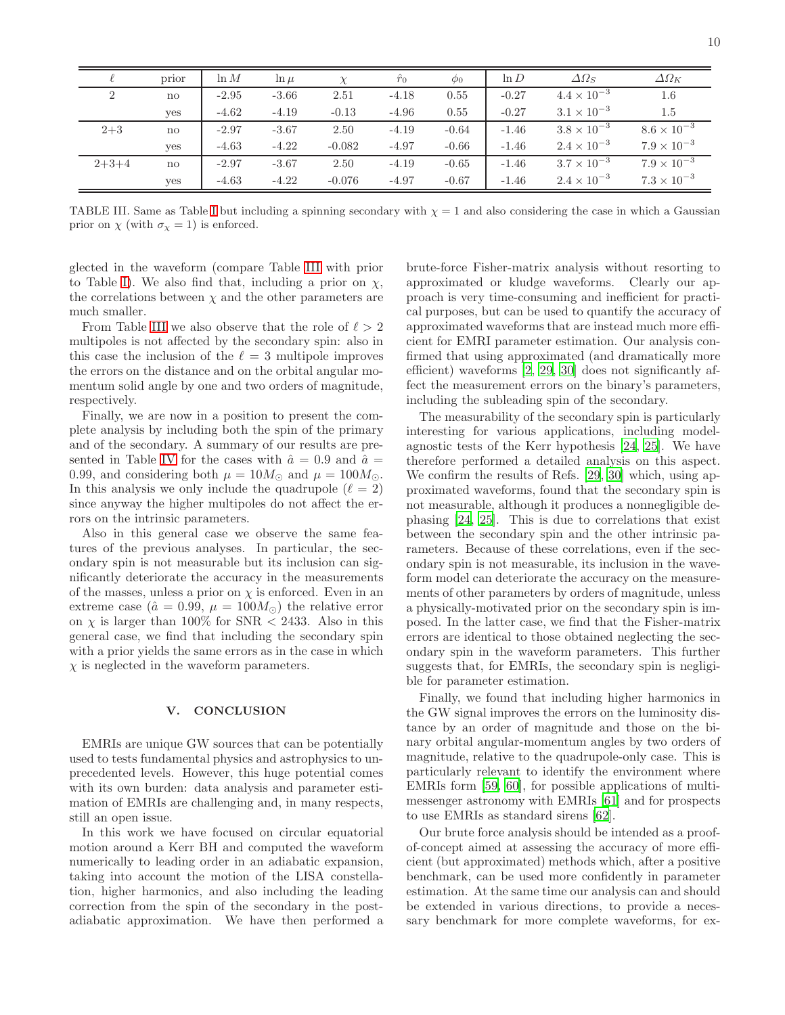| ш           | I<br>I |  |
|-------------|--------|--|
| i<br>×<br>۹ |        |  |

|                | prior        | $\ln M$ | $\ln \mu$ | $\chi$   | $\hat{r}_0$ | $\phi_0$ | $\ln D$ | $\Delta\Omega_S$     | $\Delta\Omega_K$     |
|----------------|--------------|---------|-----------|----------|-------------|----------|---------|----------------------|----------------------|
| $\overline{2}$ | $\mathbf{n}$ | $-2.95$ | $-3.66$   | 2.51     | $-4.18$     | 0.55     | $-0.27$ | $4.4 \times 10^{-3}$ | 1.6                  |
|                | <b>ves</b>   | $-4.62$ | $-4.19$   | $-0.13$  | $-4.96$     | 0.55     | $-0.27$ | $3.1 \times 10^{-3}$ | 1.5                  |
| $2 + 3$        | $\mathbf{n}$ | $-2.97$ | $-3.67$   | 2.50     | $-4.19$     | $-0.64$  | $-1.46$ | $3.8 \times 10^{-3}$ | $8.6 \times 10^{-3}$ |
|                | ves          | $-4.63$ | $-4.22$   | $-0.082$ | $-4.97$     | $-0.66$  | $-1.46$ | $2.4 \times 10^{-3}$ | $7.9 \times 10^{-3}$ |
| $2+3+4$        | $\mathbf{n}$ | $-2.97$ | $-3.67$   | 2.50     | $-4.19$     | $-0.65$  | $-1.46$ | $3.7 \times 10^{-3}$ | $7.9 \times 10^{-3}$ |
|                | yes          | $-4.63$ | $-4.22$   | $-0.076$ | $-4.97$     | $-0.67$  | $-1.46$ | $2.4 \times 10^{-3}$ | $7.3 \times 10^{-3}$ |

<span id="page-9-1"></span>TABLE [I](#page-8-1)II. Same as Table I but including a spinning secondary with  $\chi = 1$  and also considering the case in which a Gaussian prior on  $\chi$  (with  $\sigma_{\chi} = 1$ ) is enforced.

glected in the waveform (compare Table [III](#page-9-1) with prior to Table [I\)](#page-8-1). We also find that, including a prior on  $\chi$ , the correlations between  $\chi$  and the other parameters are much smaller.

From Table [III](#page-9-1) we also observe that the role of  $\ell > 2$ multipoles is not affected by the secondary spin: also in this case the inclusion of the  $\ell = 3$  multipole improves the errors on the distance and on the orbital angular momentum solid angle by one and two orders of magnitude, respectively.

Finally, we are now in a position to present the complete analysis by including both the spin of the primary and of the secondary. A summary of our results are pre-sented in Table [IV](#page-10-1) for the cases with  $\hat{a} = 0.9$  and  $\hat{a} =$ 0.99, and considering both  $\mu = 10M_{\odot}$  and  $\mu = 100M_{\odot}$ . In this analysis we only include the quadrupole  $(\ell = 2)$ since anyway the higher multipoles do not affect the errors on the intrinsic parameters.

Also in this general case we observe the same features of the previous analyses. In particular, the secondary spin is not measurable but its inclusion can significantly deteriorate the accuracy in the measurements of the masses, unless a prior on  $\chi$  is enforced. Even in an extreme case ( $\hat{a} = 0.99, \mu = 100 M_{\odot}$ ) the relative error on  $\chi$  is larger than 100% for SNR  $\lt$  2433. Also in this general case, we find that including the secondary spin with a prior yields the same errors as in the case in which  $\chi$  is neglected in the waveform parameters.

### <span id="page-9-0"></span>V. CONCLUSION

EMRIs are unique GW sources that can be potentially used to tests fundamental physics and astrophysics to unprecedented levels. However, this huge potential comes with its own burden: data analysis and parameter estimation of EMRIs are challenging and, in many respects, still an open issue.

In this work we have focused on circular equatorial motion around a Kerr BH and computed the waveform numerically to leading order in an adiabatic expansion, taking into account the motion of the LISA constellation, higher harmonics, and also including the leading correction from the spin of the secondary in the postadiabatic approximation. We have then performed a

brute-force Fisher-matrix analysis without resorting to approximated or kludge waveforms. Clearly our approach is very time-consuming and inefficient for practical purposes, but can be used to quantify the accuracy of approximated waveforms that are instead much more efficient for EMRI parameter estimation. Our analysis confirmed that using approximated (and dramatically more efficient) waveforms [\[2,](#page-17-1) [29](#page-18-11), [30\]](#page-18-12) does not significantly affect the measurement errors on the binary's parameters, including the subleading spin of the secondary.

The measurability of the secondary spin is particularly interesting for various applications, including modelagnostic tests of the Kerr hypothesis [\[24](#page-18-1), [25\]](#page-18-2). We have therefore performed a detailed analysis on this aspect. We confirm the results of Refs. [\[29](#page-18-11), [30\]](#page-18-12) which, using approximated waveforms, found that the secondary spin is not measurable, although it produces a nonnegligible dephasing [\[24](#page-18-1), [25](#page-18-2)]. This is due to correlations that exist between the secondary spin and the other intrinsic parameters. Because of these correlations, even if the secondary spin is not measurable, its inclusion in the waveform model can deteriorate the accuracy on the measurements of other parameters by orders of magnitude, unless a physically-motivated prior on the secondary spin is imposed. In the latter case, we find that the Fisher-matrix errors are identical to those obtained neglecting the secondary spin in the waveform parameters. This further suggests that, for EMRIs, the secondary spin is negligible for parameter estimation.

Finally, we found that including higher harmonics in the GW signal improves the errors on the luminosity distance by an order of magnitude and those on the binary orbital angular-momentum angles by two orders of magnitude, relative to the quadrupole-only case. This is particularly relevant to identify the environment where EMRIs form [\[59](#page-19-8), [60\]](#page-19-9), for possible applications of multimessenger astronomy with EMRIs [\[61\]](#page-19-10) and for prospects to use EMRIs as standard sirens [\[62\]](#page-19-11).

Our brute force analysis should be intended as a proofof-concept aimed at assessing the accuracy of more efficient (but approximated) methods which, after a positive benchmark, can be used more confidently in parameter estimation. At the same time our analysis can and should be extended in various directions, to provide a necessary benchmark for more complete waveforms, for ex-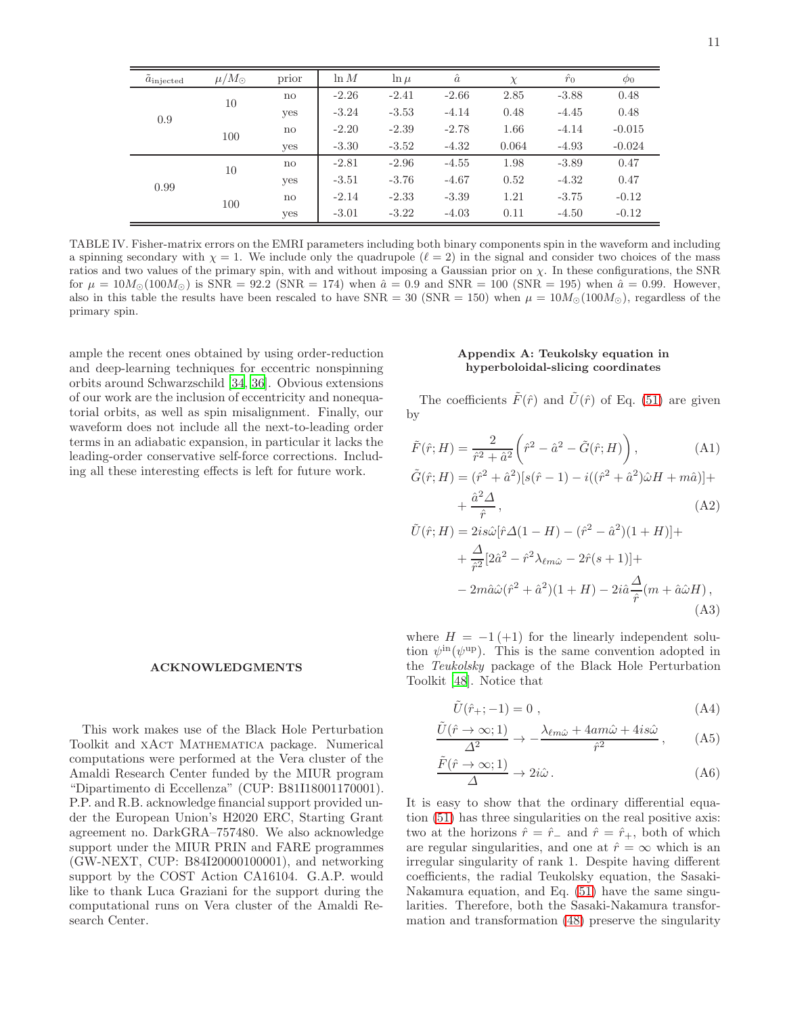| $a_{\rm injected}$ | $\mu/M_{\odot}$ | prior        | $\ln M$ | $\ln \mu$ | $\hat{a}$ | $\chi$ | $\hat{r}_0$ | $\phi_0$ |
|--------------------|-----------------|--------------|---------|-----------|-----------|--------|-------------|----------|
| 0.9                | 10              | $\mathbf{n}$ | $-2.26$ | $-2.41$   | $-2.66$   | 2.85   | $-3.88$     | 0.48     |
|                    |                 | yes          | $-3.24$ | $-3.53$   | $-4.14$   | 0.48   | $-4.45$     | 0.48     |
|                    | 100             | no           | $-2.20$ | $-2.39$   | $-2.78$   | 1.66   | $-4.14$     | $-0.015$ |
|                    |                 | yes          | $-3.30$ | $-3.52$   | $-4.32$   | 0.064  | $-4.93$     | $-0.024$ |
| 0.99               | 10              | no           | $-2.81$ | $-2.96$   | $-4.55$   | 1.98   | $-3.89$     | 0.47     |
|                    |                 | yes          | $-3.51$ | $-3.76$   | $-4.67$   | 0.52   | $-4.32$     | 0.47     |
|                    | 100             | no           | $-2.14$ | $-2.33$   | $-3.39$   | 1.21   | $-3.75$     | $-0.12$  |
|                    |                 | yes          | $-3.01$ | $-3.22$   | $-4.03$   | 0.11   | $-4.50$     | $-0.12$  |

<span id="page-10-1"></span>TABLE IV. Fisher-matrix errors on the EMRI parameters including both binary components spin in the waveform and including a spinning secondary with  $\chi = 1$ . We include only the quadrupole  $(\ell = 2)$  in the signal and consider two choices of the mass ratios and two values of the primary spin, with and without imposing a Gaussian prior on  $\chi$ . In these configurations, the SNR for  $\mu = 10 M_{\odot} (100 M_{\odot})$  is SNR = 92.2 (SNR = 174) when  $\hat{a} = 0.9$  and SNR = 100 (SNR = 195) when  $\hat{a} = 0.99$ . However, also in this table the results have been rescaled to have  $SNR = 30$  ( $SNR = 150$ ) when  $\mu = 10M_{\odot}(100M_{\odot})$ , regardless of the primary spin.

ample the recent ones obtained by using order-reduction and deep-learning techniques for eccentric nonspinning orbits around Schwarzschild [\[34,](#page-18-9) [36](#page-18-10)]. Obvious extensions of our work are the inclusion of eccentricity and nonequatorial orbits, as well as spin misalignment. Finally, our waveform does not include all the next-to-leading order terms in an adiabatic expansion, in particular it lacks the leading-order conservative self-force corrections. Including all these interesting effects is left for future work.

## ACKNOWLEDGMENTS

This work makes use of the Black Hole Perturbation Toolkit and XACT MATHEMATICA package. Numerical computations were performed at the Vera cluster of the Amaldi Research Center funded by the MIUR program "Dipartimento di Eccellenza" (CUP: B81I18001170001). P.P. and R.B. acknowledge financial support provided under the European Union's H2020 ERC, Starting Grant agreement no. DarkGRA–757480. We also acknowledge support under the MIUR PRIN and FARE programmes (GW-NEXT, CUP: B84I20000100001), and networking support by the COST Action CA16104. G.A.P. would like to thank Luca Graziani for the support during the computational runs on Vera cluster of the Amaldi Research Center.

### <span id="page-10-0"></span>Appendix A: Teukolsky equation in hyperboloidal-slicing coordinates

The coefficients  $\tilde{F}(\hat{r})$  and  $\tilde{U}(\hat{r})$  of Eq. [\(51\)](#page-4-2) are given by

$$
\tilde{F}(\hat{r}; H) = \frac{2}{\hat{r}^2 + \hat{a}^2} \left(\hat{r}^2 - \hat{a}^2 - \tilde{G}(\hat{r}; H)\right),
$$
\n(A1)

$$
\tilde{G}(\hat{r};H) = (\hat{r}^2 + \hat{a}^2)[s(\hat{r} - 1) - i((\hat{r}^2 + \hat{a}^2)\hat{\omega}H + m\hat{a})] +
$$

$$
+\frac{\hat{a}^2\Delta}{\hat{r}},\tag{A2}
$$

$$
\tilde{U}(\hat{r};H) = 2is\hat{\omega}[\hat{r}\Delta(1-H) - (\hat{r}^2 - \hat{a}^2)(1+H)] + \n+ \frac{\Delta}{\hat{r}^2} [2\hat{a}^2 - \hat{r}^2 \lambda_{\ell m \hat{\omega}} - 2\hat{r}(s+1)] + \n- 2m\hat{a}\hat{\omega}(\hat{r}^2 + \hat{a}^2)(1+H) - 2i\hat{a}\frac{\Delta}{\hat{r}}(m + \hat{a}\hat{\omega}H),
$$
\n(A3)

where  $H = -1 (+1)$  for the linearly independent solution  $\psi^{\text{in}}(\psi^{\text{up}})$ . This is the same convention adopted in the Teukolsky package of the Black Hole Perturbation Toolkit [\[48](#page-18-24)]. Notice that

$$
\tilde{U}(\hat{r}_{+};-1) = 0 ,\qquad (A4)
$$

$$
\frac{\tilde{U}(\hat{r}\to\infty;1)}{\Delta^2} \to -\frac{\lambda_{\ell m\hat{\omega}} + 4am\hat{\omega} + 4is\hat{\omega}}{\hat{r}^2},\qquad(A5)
$$

$$
\frac{\tilde{F}(\hat{r}\to\infty;1)}{\Delta}\to 2i\hat{\omega}.
$$
 (A6)

It is easy to show that the ordinary differential equation [\(51\)](#page-4-2) has three singularities on the real positive axis: two at the horizons  $\hat{r} = \hat{r}_-$  and  $\hat{r} = \hat{r}_+$ , both of which are regular singularities, and one at  $\hat{r} = \infty$  which is an irregular singularity of rank 1. Despite having different coefficients, the radial Teukolsky equation, the Sasaki-Nakamura equation, and Eq. [\(51\)](#page-4-2) have the same singularities. Therefore, both the Sasaki-Nakamura transformation and transformation [\(48\)](#page-4-1) preserve the singularity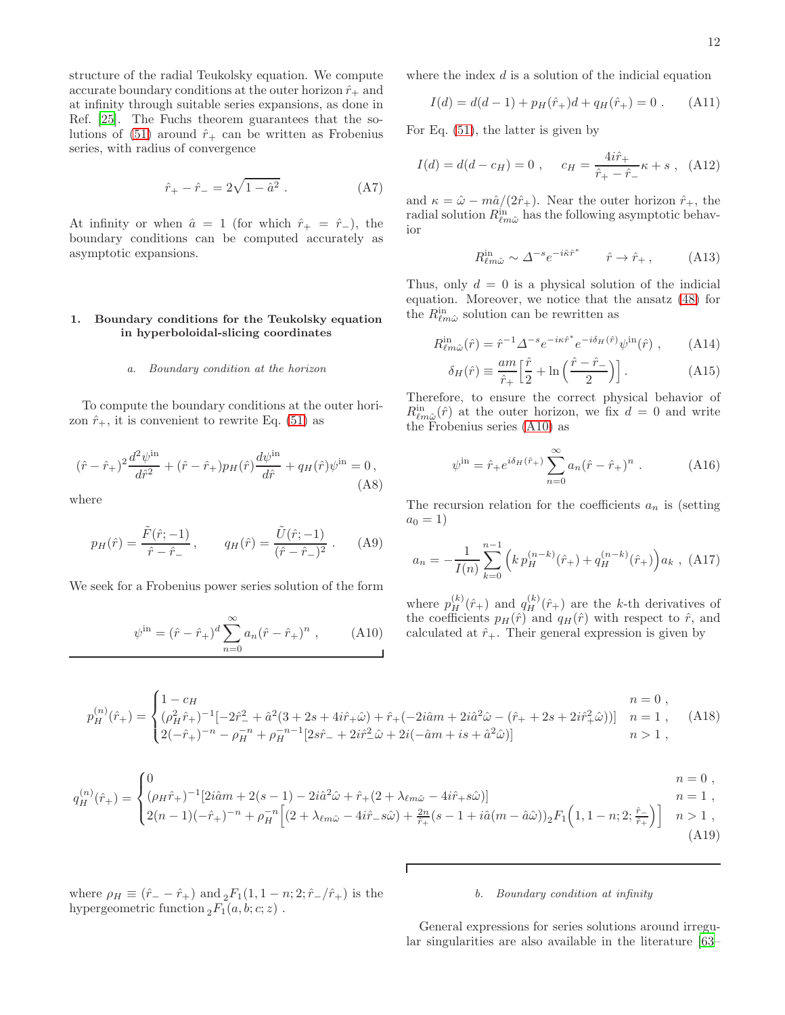structure of the radial Teukolsky equation. We compute accurate boundary conditions at the outer horizon  $\hat{r}_+$  and at infinity through suitable series expansions, as done in Ref. [\[25\]](#page-18-2). The Fuchs theorem guarantees that the so-lutions of [\(51\)](#page-4-2) around  $\hat{r}_+$  can be written as Frobenius series, with radius of convergence

$$
\hat{r}_{+} - \hat{r}_{-} = 2\sqrt{1 - \hat{a}^2} . \tag{A7}
$$

At infinity or when  $\hat{a} = 1$  (for which  $\hat{r}_{+} = \hat{r}_{-}$ ), the boundary conditions can be computed accurately as asymptotic expansions.

## <span id="page-11-0"></span>1. Boundary conditions for the Teukolsky equation in hyperboloidal-slicing coordinates

#### *a. Boundary condition at the horizon*

To compute the boundary conditions at the outer horizon  $\hat{r}_+$ , it is convenient to rewrite Eq. [\(51\)](#page-4-2) as

$$
(\hat{r} - \hat{r}_{+})^{2} \frac{d^{2} \psi^{\text{in}}}{d \hat{r}^{2}} + (\hat{r} - \hat{r}_{+}) p_{H}(\hat{r}) \frac{d \psi^{\text{in}}}{d \hat{r}} + q_{H}(\hat{r}) \psi^{\text{in}} = 0,
$$
\n(A8)

where

$$
p_H(\hat{r}) = \frac{\tilde{F}(\hat{r}; -1)}{\hat{r} - \hat{r}_-}, \qquad q_H(\hat{r}) = \frac{\tilde{U}(\hat{r}; -1)}{(\hat{r} - \hat{r}_-)^2} . \tag{A9}
$$

We seek for a Frobenius power series solution of the form

<span id="page-11-1"></span>
$$
\psi^{\text{in}} = (\hat{r} - \hat{r}_+)^d \sum_{n=0}^{\infty} a_n (\hat{r} - \hat{r}_+)^n , \qquad (A10)
$$

where the index  $d$  is a solution of the indicial equation

$$
I(d) = d(d-1) + p_H(\hat{r}_+)d + q_H(\hat{r}_+) = 0.
$$
 (A11)

For Eq. [\(51\)](#page-4-2), the latter is given by

$$
I(d) = d(d - c_H) = 0 , \quad c_H = \frac{4i\hat{r}_+}{\hat{r}_+ - \hat{r}_-} \kappa + s , \quad (A12)
$$

and  $\kappa = \hat{\omega} - m\hat{a}/(2\hat{r}_{+})$ . Near the outer horizon  $\hat{r}_{+}$ , the radial solution  $R_{\ell m\hat{\omega}}^{\text{in}}$  has the following asymptotic behavior

$$
R_{\ell m \hat{\omega}}^{\text{in}} \sim \Delta^{-s} e^{-i\hat{\kappa}\hat{r}^*} \qquad \hat{r} \to \hat{r}_+, \tag{A13}
$$

Thus, only  $d = 0$  is a physical solution of the indicial equation. Moreover, we notice that the ansatz [\(48\)](#page-4-1) for the  $R_{\ell m\hat{\omega}}^{\text{in}}$  solution can be rewritten as

$$
R_{\ell m \hat{\omega}}^{\text{in}}(\hat{r}) = \hat{r}^{-1} \Delta^{-s} e^{-i\kappa \hat{r}^*} e^{-i\delta_H(\hat{r})} \psi^{\text{in}}(\hat{r}) , \qquad (A14)
$$

$$
\delta_H(\hat{r}) \equiv \frac{am}{\hat{r}_+} \left[ \frac{\hat{r}}{2} + \ln\left(\frac{\hat{r} - \hat{r}_-}{2}\right) \right].
$$
 (A15)

Therefore, to ensure the correct physical behavior of  $R_{\ell m\hat{\omega}}^{\text{in}}(\hat{r})$  at the outer horizon, we fix  $d=0$  and write the Frobenius series [\(A10\)](#page-11-1) as

$$
\psi^{\text{in}} = \hat{r}_{+} e^{i\delta_H(\hat{r}_{+})} \sum_{n=0}^{\infty} a_n (\hat{r} - \hat{r}_{+})^n . \tag{A16}
$$

The recursion relation for the coefficients  $a_n$  is (setting  $a_0 = 1$ )

$$
a_n = -\frac{1}{I(n)} \sum_{k=0}^{n-1} \left( k p_H^{(n-k)}(\hat{r}_+) + q_H^{(n-k)}(\hat{r}_+) \right) a_k , \text{ (A17)}
$$

where  $p_H^{(k)}(\hat{r}_+)$  and  $q_H^{(k)}(\hat{r}_+)$  are the k-th derivatives of the coefficients  $p_H(\hat{r})$  and  $q_H(\hat{r})$  with respect to  $\hat{r}$ , and calculated at  $\hat{r}_{+}$ . Their general expression is given by

$$
p_H^{(n)}(\hat{r}_+) = \begin{cases} 1 - c_H & n = 0, \\ (\rho_H^2 \hat{r}_+)^{-1} [-2\hat{r}_-^2 + \hat{a}^2 (3 + 2s + 4i\hat{r}_+ \hat{\omega}) + \hat{r}_+ (-2i\hat{a}m + 2i\hat{a}^2 \hat{\omega} - (\hat{r}_+ + 2s + 2i\hat{r}_+^2 \hat{\omega}))] & n = 1 \\ 2(-\hat{r}_+)^{-n} - \rho_H^{-n} + \rho_H^{-n-1} [2s\hat{r}_- + 2i\hat{r}_-^2 \hat{\omega} + 2i(-\hat{a}m + is + \hat{a}^2 \hat{\omega})] & n > 1 \end{cases}
$$
 (A18)

 $\overline{\mathcal{U}}$ 

$$
q_H^{(n)}(\hat{r}_+) = \begin{cases} 0 & n = 0, \\ (\rho_H \hat{r}_+)^{-1} [2i\hat{a}m + 2(s - 1) - 2i\hat{a}^2 \hat{\omega} + \hat{r}_+ (2 + \lambda_{\ell m \hat{\omega}} - 4i\hat{r}_+ s \hat{\omega})] & n = 1 \\ 2(n - 1)(-\hat{r}_+)^{-n} + \rho_H^{-n} \Big[ (2 + \lambda_{\ell m \hat{\omega}} - 4i\hat{r}_- s \hat{\omega}) + \frac{2n}{\hat{r}_+} (s - 1 + i\hat{a}(m - \hat{a}\hat{\omega}))_2 F_1 \Big( 1, 1 - n; 2; \frac{\hat{r}_-}{\hat{r}_+} \Big) \Big] & n > 1 , \end{cases}
$$
\n(A19)

where  $\rho_H \equiv (\hat{r}_- - \hat{r}_+)$  and  ${}_2F_1(1, 1-n; 2; \hat{r}_-/\hat{r}_+)$  is the hypergeometric function  ${}_2F_1(a, b; c; z)$ .

### *b. Boundary condition at infinity*

General expressions for series solutions around irregular singularities are also available in the literature [\[63](#page-19-12)–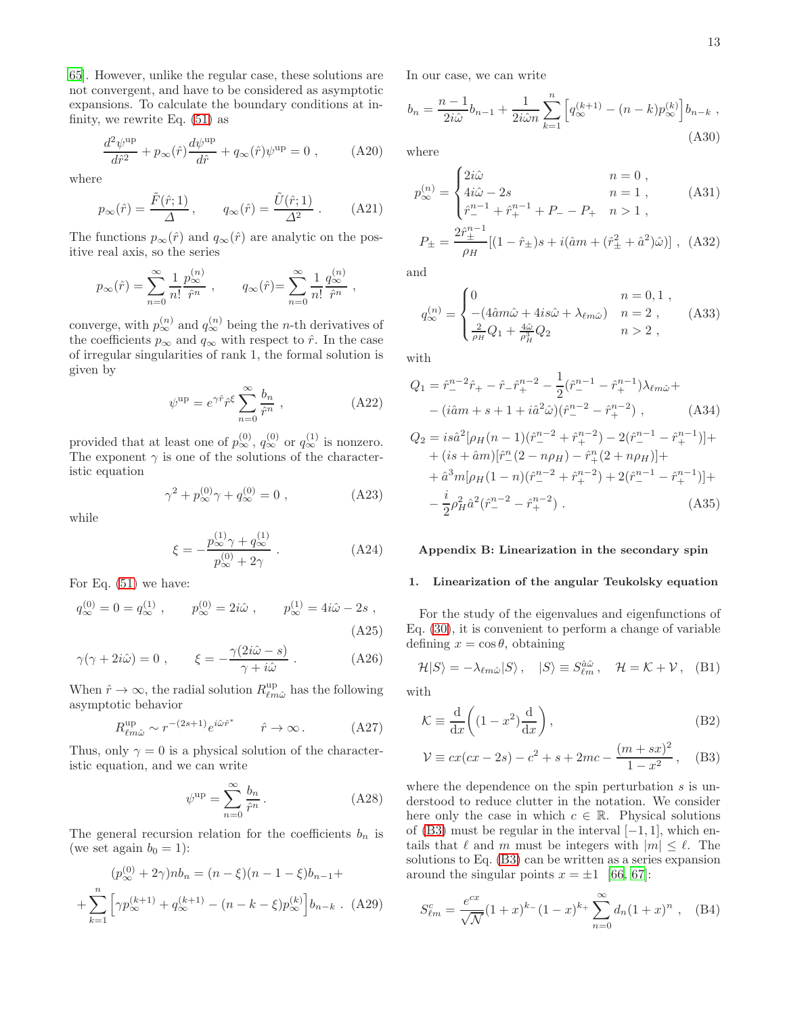[65\]](#page-19-13). However, unlike the regular case, these solutions are not convergent, and have to be considered as asymptotic expansions. To calculate the boundary conditions at infinity, we rewrite Eq. [\(51\)](#page-4-2) as

$$
\frac{d^2\psi^{\rm up}}{d\hat{r}^2} + p_{\infty}(\hat{r})\frac{d\psi^{\rm up}}{d\hat{r}} + q_{\infty}(\hat{r})\psi^{\rm up} = 0 , \qquad (A20)
$$

where

$$
p_{\infty}(\hat{r}) = \frac{\tilde{F}(\hat{r}; 1)}{\Delta}, \qquad q_{\infty}(\hat{r}) = \frac{\tilde{U}(\hat{r}; 1)}{\Delta^2} .
$$
 (A21)

The functions  $p_{\infty}(\hat{r})$  and  $q_{\infty}(\hat{r})$  are analytic on the positive real axis, so the series

$$
p_{\infty}(\hat{r}) = \sum_{n=0}^{\infty} \frac{1}{n!} \frac{p_{\infty}^{(n)}}{\hat{r}^n}
$$
,  $q_{\infty}(\hat{r}) = \sum_{n=0}^{\infty} \frac{1}{n!} \frac{q_{\infty}^{(n)}}{\hat{r}^n}$ ,

converge, with  $p_{\infty}^{(n)}$  and  $q_{\infty}^{(n)}$  being the *n*-th derivatives of the coefficients  $p_{\infty}$  and  $q_{\infty}$  with respect to  $\hat{r}$ . In the case of irregular singularities of rank 1, the formal solution is given by

$$
\psi^{\text{up}} = e^{\gamma \hat{r}} \hat{r}^{\xi} \sum_{n=0}^{\infty} \frac{b_n}{\hat{r}^n} , \qquad (A22)
$$

provided that at least one of  $p_{\infty}^{(0)}$ ,  $q_{\infty}^{(0)}$  or  $q_{\infty}^{(1)}$  is nonzero. The exponent  $\gamma$  is one of the solutions of the characteristic equation

$$
\gamma^2 + p_{\infty}^{(0)} \gamma + q_{\infty}^{(0)} = 0 , \qquad (A23)
$$

while

$$
\xi = -\frac{p_{\infty}^{(1)}\gamma + q_{\infty}^{(1)}}{p_{\infty}^{(0)} + 2\gamma} .
$$
 (A24)

For Eq. [\(51\)](#page-4-2) we have:

$$
q_{\infty}^{(0)} = 0 = q_{\infty}^{(1)}, \qquad p_{\infty}^{(0)} = 2i\hat{\omega}, \qquad p_{\infty}^{(1)} = 4i\hat{\omega} - 2s,
$$
  
(A25)

$$
\gamma(\gamma + 2i\hat{\omega}) = 0 , \qquad \xi = -\frac{\gamma(2i\hat{\omega} - s)}{\gamma + i\hat{\omega}} .
$$
 (A26)

When  $\hat{r} \to \infty$ , the radial solution  $R_{\ell m \hat{\omega}}^{\text{up}}$  has the following asymptotic behavior

$$
R^{\text{up}}_{\ell m \hat{\omega}} \sim r^{-(2s+1)} e^{i \hat{\omega} \hat{r}^*} \qquad \hat{r} \to \infty \,. \tag{A27}
$$

Thus, only  $\gamma = 0$  is a physical solution of the characteristic equation, and we can write

$$
\psi^{\text{up}} = \sum_{n=0}^{\infty} \frac{b_n}{\hat{r}^n} \,. \tag{A28}
$$

The general recursion relation for the coefficients  $b_n$  is (we set again  $b_0 = 1$ ):

$$
(p_{\infty}^{(0)} + 2\gamma)nb_n = (n - \xi)(n - 1 - \xi)b_{n-1} +
$$

$$
+ \sum_{k=1}^{n} \left[ \gamma p_{\infty}^{(k+1)} + q_{\infty}^{(k+1)} - (n - k - \xi)p_{\infty}^{(k)} \right] b_{n-k} . \quad (A29)
$$

In our case, we can write

$$
b_n = \frac{n-1}{2i\hat{\omega}}b_{n-1} + \frac{1}{2i\hat{\omega}n} \sum_{k=1}^n \left[ q_{\infty}^{(k+1)} - (n-k)p_{\infty}^{(k)} \right] b_{n-k},
$$
\n(A30)

where

$$
p_{\infty}^{(n)} = \begin{cases} 2i\hat{\omega} & n = 0 ,\\ 4i\hat{\omega} - 2s & n = 1 ,\\ \hat{r}_{-}^{n-1} + \hat{r}_{+}^{n-1} + P_{-} - P_{+} & n > 1 , \end{cases}
$$
(A31)  

$$
P_{\pm} = \frac{2\hat{r}_{\pm}^{n-1}}{\rho_{H}} [(1 - \hat{r}_{\pm})s + i(\hat{a}m + (\hat{r}_{\pm}^{2} + \hat{a}^{2})\hat{\omega})],
$$
(A32)

and

$$
q_{\infty}^{(n)} = \begin{cases} 0 & n = 0, 1, \\ -(4\hat{a}m\hat{\omega} + 4is\hat{\omega} + \lambda_{\ell m\hat{\omega}}) & n = 2, \\ \frac{2}{\rho_H}Q_1 + \frac{4\hat{\omega}}{\rho_H^3}Q_2 & n > 2, \end{cases}
$$
 (A33)

with

$$
Q_1 = \hat{r}_-^{n-2} \hat{r}_+ - \hat{r}_- \hat{r}_+^{n-2} - \frac{1}{2} (\hat{r}_-^{n-1} - \hat{r}_+^{n-1}) \lambda_{\ell m \hat{\omega}} +
$$

$$
- (\hat{i} \hat{a} m + s + 1 + i \hat{a}^2 \hat{\omega}) (\hat{r}_-^{n-2} - \hat{r}_+^{n-2}), \qquad (A34)
$$

$$
Q_2 = i s \hat{a}^2 [\rho_H (n-1) (\hat{r}_-^{n-2} + \hat{r}_+^{n-2}) - 2 (\hat{r}_-^{n-1} - \hat{r}_+^{n-1})] +
$$
  
+ 
$$
(i s + \hat{a} m) [\hat{r}_-^{n} (2 - n \rho_H) - \hat{r}_+^{n} (2 + n \rho_H)] +
$$
  
+ 
$$
\hat{a}^3 m [\rho_H (1 - n) (\hat{r}_-^{n-2} + \hat{r}_+^{n-2}) + 2 (\hat{r}_-^{n-1} - \hat{r}_+^{n-1})] +
$$
  
- 
$$
\frac{i}{2} \rho_H^2 \hat{a}^2 (\hat{r}_-^{n-2} - \hat{r}_+^{n-2}) .
$$
 (A35)

## <span id="page-12-0"></span>Appendix B: Linearization in the secondary spin

## <span id="page-12-1"></span>1. Linearization of the angular Teukolsky equation

For the study of the eigenvalues and eigenfunctions of Eq. [\(30\)](#page-3-3), it is convenient to perform a change of variable defining  $x = \cos \theta$ , obtaining

$$
\mathcal{H}|S\rangle = -\lambda_{\ell m\hat{\omega}}|S\rangle, \quad |S\rangle \equiv S_{\ell m}^{\hat{\omega}} , \quad \mathcal{H} = \mathcal{K} + \mathcal{V}, \quad (B1)
$$

with

$$
\mathcal{K} \equiv \frac{\mathrm{d}}{\mathrm{d}x} \left( (1 - x^2) \frac{\mathrm{d}}{\mathrm{d}x} \right),\tag{B2}
$$

<span id="page-12-2"></span>
$$
\mathcal{V} \equiv cx(cx - 2s) - c^2 + s + 2mc - \frac{(m + sx)^2}{1 - x^2}, \quad \text{(B3)}
$$

where the dependence on the spin perturbation  $s$  is understood to reduce clutter in the notation. We consider here only the case in which  $c \in \mathbb{R}$ . Physical solutions of [\(B3\)](#page-12-2) must be regular in the interval  $[-1, 1]$ , which entails that  $\ell$  and m must be integers with  $|m| \leq \ell$ . The solutions to Eq. [\(B3\)](#page-12-2) can be written as a series expansion around the singular points  $x = \pm 1$  [\[66,](#page-19-14) [67\]](#page-19-15):

<span id="page-12-3"></span>
$$
S_{\ell m}^c = \frac{e^{cx}}{\sqrt{\mathcal{N}}} (1+x)^{k-} (1-x)^{k+} \sum_{n=0}^{\infty} d_n (1+x)^n , \quad \text{(B4)}
$$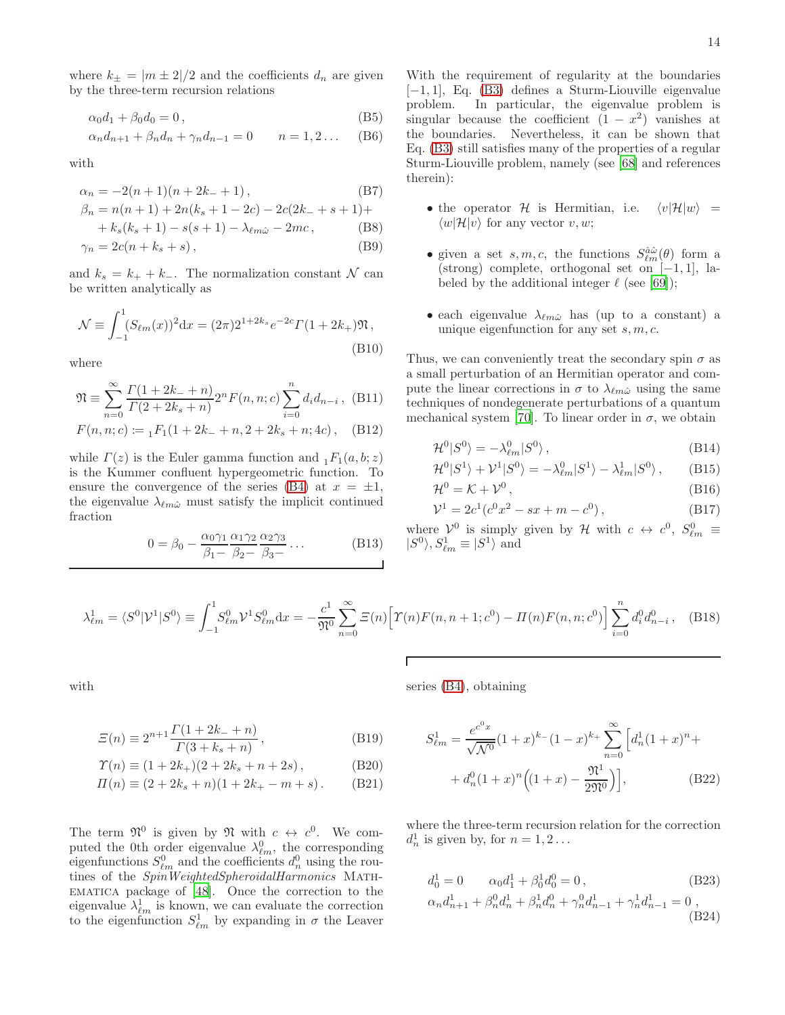where  $k_{\pm} = |m \pm 2|/2$  and the coefficients  $d_n$  are given by the three-term recursion relations

$$
\alpha_0 d_1 + \beta_0 d_0 = 0, \qquad (B5)
$$

$$
\alpha_n d_{n+1} + \beta_n d_n + \gamma_n d_{n-1} = 0 \qquad n = 1, 2 \dots \quad (B6)
$$

with

$$
\alpha_n = -2(n+1)(n+2k+1),\tag{B7}
$$

$$
\beta_n = n(n+1) + 2n(k_s + 1 - 2c) - 2c(2k_s + s + 1) +
$$
  
+  $k_s(k_s + 1) - s(s + 1) - \lambda_{\ell m\hat{\omega}} - 2mc$ , (B8)

$$
\gamma_n = 2c(n + k_s + s),\tag{B9}
$$

and  $k_s = k_+ + k_-.$  The normalization constant N can be written analytically as

$$
\mathcal{N} \equiv \int_{-1}^{1} (S_{\ell m}(x))^2 dx = (2\pi)2^{1+2k_s} e^{-2c} \Gamma(1+2k_+) \mathfrak{N},
$$
\n(B10)

where

$$
\mathfrak{N} \equiv \sum_{n=0}^{\infty} \frac{\Gamma(1+2k_{-}+n)}{\Gamma(2+2k_{s}+n)} 2^{n} F(n,n;c) \sum_{i=0}^{n} d_{i} d_{n-i}, \quad \text{(B11)}
$$

$$
F(n,n;c) \coloneqq {}_{1}F_{1}(1+2k_{-}+n,2+2k_{s}+n;4c), \quad \text{(B12)}
$$

while  $\Gamma(z)$  is the Euler gamma function and  $_1F_1(a, b; z)$ is the Kummer confluent hypergeometric function. To ensure the convergence of the series [\(B4\)](#page-12-3) at  $x = \pm 1$ , the eigenvalue  $\lambda_{\ell m \hat{\omega}}$  must satisfy the implicit continued fraction

$$
0 = \beta_0 - \frac{\alpha_0 \gamma_1}{\beta_1 - \beta_2 - \beta_3 - \cdots} \cdots
$$
 (B13)

With the requirement of regularity at the boundaries [−1, 1], Eq. [\(B3\)](#page-12-2) defines a Sturm-Liouville eigenvalue In particular, the eigenvalue problem is singular because the coefficient  $(1 - x^2)$  vanishes at the boundaries. Nevertheless, it can be shown that Eq. [\(B3\)](#page-12-2) still satisfies many of the properties of a regular Sturm-Liouville problem, namely (see [\[68](#page-19-16)] and references therein):

- the operator H is Hermitian, i.e.  $\langle v|\mathcal{H}|w\rangle =$  $\langle w|\mathcal{H}|v\rangle$  for any vector v, w;
- given a set  $s, m, c$ , the functions  $S_{\ell m}^{\hat{a}\hat{\omega}}(\theta)$  form a (strong) complete, orthogonal set on [−1, 1], labeled by the additional integer  $\ell$  (see [\[69](#page-19-17)]);
- each eigenvalue  $\lambda_{\ell m \hat{\omega}}$  has (up to a constant) a unique eigenfunction for any set  $s, m, c$ .

Thus, we can conveniently treat the secondary spin  $\sigma$  as a small perturbation of an Hermitian operator and compute the linear corrections in  $\sigma$  to  $\lambda_{\ell m \hat{\omega}}$  using the same techniques of nondegenerate perturbations of a quantum mechanical system [\[70\]](#page-19-18). To linear order in  $\sigma$ , we obtain

$$
\mathcal{H}^0|S^0\rangle = -\lambda^0_{\ell m}|S^0\rangle\,,\tag{B14}
$$

$$
\mathcal{H}^0|S^1\rangle + \mathcal{V}^1|S^0\rangle = -\lambda_{\ell m}^0|S^1\rangle - \lambda_{\ell m}^1|S^0\rangle\,,\qquad\text{(B15)}
$$

$$
\mathcal{H}^0 = \mathcal{K} + \mathcal{V}^0, \tag{B16}
$$

$$
\mathcal{V}^1 = 2c^1(c^0x^2 - sx + m - c^0), \tag{B17}
$$

where  $\mathcal{V}^0$  is simply given by H with  $c \leftrightarrow c^0$ ,  $S_{\ell m}^0 \equiv$  $|S^0\rangle, S^1_{\ell m} \equiv |S^1\rangle$  and

$$
\lambda_{\ell m}^1 = \langle S^0 | \mathcal{V}^1 | S^0 \rangle \equiv \int_{-1}^1 S_{\ell m}^0 \mathcal{V}^1 S_{\ell m}^0 dx = -\frac{c^1}{\mathfrak{N}^0} \sum_{n=0}^{\infty} \Xi(n) \Big[ \Upsilon(n) F(n, n+1; c^0) - \Pi(n) F(n, n; c^0) \Big] \sum_{i=0}^n d_i^0 d_{n-i}^0 , \quad \text{(B18)}
$$

series [\(B4\)](#page-12-3), obtaining

with

$$
\Xi(n) \equiv 2^{n+1} \frac{\Gamma(1+2k_{-}+n)}{\Gamma(3+k_{s}+n)},
$$
\n(B19)

$$
\varUpsilon(n) \equiv (1 + 2k_+)(2 + 2k_s + n + 2s) , \qquad (B20)
$$

$$
\Pi(n) \equiv (2 + 2k_s + n)(1 + 2k_+ - m + s). \tag{B21}
$$

The term  $\mathfrak{N}^0$  is given by  $\mathfrak{N}$  with  $c \leftrightarrow c^0$ . We computed the 0th order eigenvalue  $\lambda_{\ell m}^0$ , the corresponding eigenfunctions  $S^0_{\ell m}$  and the coefficients  $d_n^0$  using the routines of the SpinWeightedSpheroidalHarmonics MATHematica package of [\[48\]](#page-18-24). Once the correction to the eigenvalue  $\lambda_{\ell m}^1$  is known, we can evaluate the correction to the eigenfunction  $S^1_{\ell m}$  by expanding in  $\sigma$  the Leaver

 $S_{\ell m}^1 = \frac{e^{c^0 x}}{\sqrt{10}}$  $\frac{e^{c^0 x}}{\sqrt{\mathcal{N}^0}} (1+x)^{k_-} (1-x)^{k_+} \sum_{n=0}^{\infty}$  $n=0$  $\int d_n^1 (1+x)^n +$ +  $d_n^0(1+x)^n((1+x) \mathfrak{N}^1$  $2\mathfrak{N}^0$  $(B22)$ 

where the three-term recursion relation for the correction  $d_n^1$  is given by, for  $n = 1, 2...$ 

$$
d_0^1 = 0 \qquad \alpha_0 d_1^1 + \beta_0^1 d_0^0 = 0, \qquad (B23)
$$

$$
\alpha_n d_{n+1}^1 + \beta_n^0 d_n^1 + \beta_n^1 d_n^0 + \gamma_n^0 d_{n-1}^1 + \gamma_n^1 d_{n-1}^1 = 0 ,
$$
\n(B24)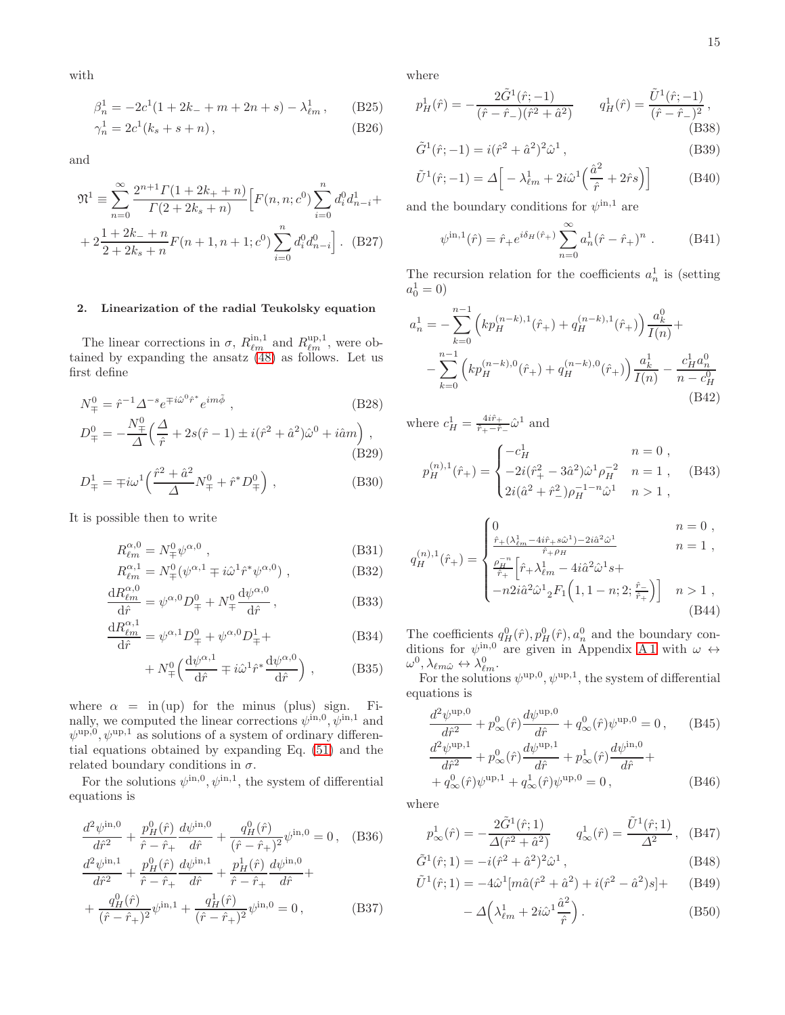with

$$
\beta_n^1 = -2c^1(1 + 2k_- + m + 2n + s) - \lambda_{\ell m}^1, \qquad (B25)
$$

$$
\gamma_n^1 = 2c^1(k_s + s + n), \tag{B26}
$$

and

$$
\mathfrak{N}^{1} \equiv \sum_{n=0}^{\infty} \frac{2^{n+1} \Gamma(1+2k_{+}+n)}{\Gamma(2+2k_{s}+n)} \Big[ F(n,n;c^{0}) \sum_{i=0}^{n} d_{i}^{0} d_{n-i}^{1} + 2 \frac{1+2k_{-}+n}{2+2k_{s}+n} F(n+1,n+1;c^{0}) \sum_{i=0}^{n} d_{i}^{0} d_{n-i}^{0} \Big].
$$
 (B27)

## <span id="page-14-0"></span>2. Linearization of the radial Teukolsky equation

The linear corrections in  $\sigma$ ,  $R_{\ell m}^{\text{in},1}$  and  $R_{\ell m}^{\text{up},1}$ , were obtained by expanding the ansatz [\(48\)](#page-4-1) as follows. Let us first define

$$
N_{\mp}^{0} = \hat{r}^{-1} \Delta^{-s} e^{\mp i\hat{\omega}^{0}\hat{r}^{*}} e^{im\tilde{\phi}} , \qquad (B28)
$$

$$
D_{\mp}^{0} = -\frac{N_{\mp}^{0}}{\Delta} \left( \frac{\Delta}{\hat{r}} + 2s(\hat{r} - 1) \pm i(\hat{r}^{2} + \hat{a}^{2})\hat{\omega}^{0} + i\hat{a}m \right),
$$
\n(B29)

$$
D_{\mp}^{1} = \mp i\omega^{1} \left( \frac{\hat{r}^{2} + \hat{a}^{2}}{\Delta} N_{\mp}^{0} + \hat{r}^{*} D_{\mp}^{0} \right) , \qquad (B30)
$$

It is possible then to write

$$
R^{\alpha,0}_{\ell m} = N^0_{\mp} \psi^{\alpha,0} , \qquad (B31)
$$
  

$$
R^{\alpha,1}_{\ell m} = N^0 \left( \psi^{\alpha,1}_{\ell m} + \psi^{\alpha,1}_{\ell m} \hat{\psi}^* \psi^{\alpha,0} \right) , \qquad (B32)
$$

$$
R^{\alpha,1}_{\ell m} = N^0_{\mp} (\psi^{\alpha,1} \mp i \hat{\omega}^1 \hat{r}^* \psi^{\alpha,0}) ,
$$
 (B32)  

$$
R^{\alpha,0}_{\ell m}
$$

$$
\frac{\mathrm{d}R_{\ell m}^{\alpha,0}}{\mathrm{d}\hat{r}} = \psi^{\alpha,0} D_{\mp}^0 + N_{\mp}^0 \frac{\mathrm{d}\psi^{\alpha,0}}{\mathrm{d}\hat{r}},\tag{B33}
$$

$$
\frac{dR_{\ell m}^{\alpha,1}}{d\hat{r}} = \psi^{\alpha,1} D_{\mp}^0 + \psi^{\alpha,0} D_{\mp}^1 +
$$
 (B34)

$$
+ N^0_{\mp} \left( \frac{\mathrm{d}\psi^{\alpha,1}}{\mathrm{d}\hat{r}} \mp i\hat{\omega}^1 \hat{r}^* \frac{\mathrm{d}\psi^{\alpha,0}}{\mathrm{d}\hat{r}} \right) , \tag{B35}
$$

where  $\alpha = \text{in (up)}$  for the minus (plus) sign. Finally, we computed the linear corrections  $\psi^{\text{in},0}, \psi^{\text{in},1}$  and  $\psi^{\text{up},0}, \psi^{\text{up},1}$  as solutions of a system of ordinary differential equations obtained by expanding Eq. [\(51\)](#page-4-2) and the related boundary conditions in  $\sigma$ .

For the solutions  $\psi^{\text{in},0}, \psi^{\text{in},1}$ , the system of differential equations is

$$
\frac{d^2\psi^{\text{in},0}}{d\hat{r}^2} + \frac{p_H^0(\hat{r})}{\hat{r} - \hat{r}_+} \frac{d\psi^{\text{in},0}}{d\hat{r}} + \frac{q_H^0(\hat{r})}{(\hat{r} - \hat{r}_+)^2} \psi^{\text{in},0} = 0 \,, \quad \text{(B36)}
$$
\n
$$
\frac{d^2\psi^{\text{in},1}}{d^2\psi^{\text{in},1}} + \frac{p_H^0(\hat{r})}{d\psi^{\text{in},1}} \frac{d\psi^{\text{in},1}}{d\psi^{\text{in},0}} + \frac{p_H^1(\hat{r})}{d\psi^{\text{in},0}} \frac{d\psi^{\text{in},0}}{d\psi^{\text{in},0}} + \frac{1}{2} \frac{d\psi^{\text{in},0}}{d\psi^{\text{in},0}} \frac{d\psi^{\text{in},0}}{d\psi^{\text{in},0}} + \frac{1}{2} \frac{d\psi^{\text{in},0}}{d\psi^{\text{in},0}} \frac{d\psi^{\text{in},0}}{d\psi^{\text{in},0}} + \frac{1}{2} \frac{d\psi^{\text{in},0}}{d\psi^{\text{in},0}} \frac{d\psi^{\text{in},0}}{d\psi^{\text{in},0}} + \frac{1}{2} \frac{d\psi^{\text{in},0}}{d\psi^{\text{in},0}} \frac{d\psi^{\text{in},0}}{d\psi^{\text{in},0}} + \frac{1}{2} \frac{d\psi^{\text{in},0}}{d\psi^{\text{in},0}} \frac{d\psi^{\text{in},0}}{d\psi^{\text{in},0}} + \frac{1}{2} \frac{d\psi^{\text{in},0}}{d\psi^{\text{in},0}} \frac{d\psi^{\text{in},0}}{d\psi^{\text{in},0}} + \frac{1}{2} \frac{d\psi^{\text{in},0}}{d\psi^{\text{in},0}} \frac{d\psi^{\text{in},0}}{d\psi^{\text{in},0}} + \frac{1}{2} \frac{d\psi^{\text{in},0}}{d\psi^{\text{in},0}} \frac{d\psi^{\text{in},0}}{d\psi^{\text{in},0}} + \frac{1}{2} \frac{d\
$$

$$
d\hat{r}^{2} = \hat{r} - \hat{r}_{+} \quad d\hat{r} = \hat{r}_{+} \quad d\hat{r} = \hat{r}_{+} \quad d\hat{r} = \frac{q_{H}^{0}(\hat{r})}{(\hat{r} - \hat{r}_{+})^{2}} \psi^{\text{in},1} + \frac{q_{H}^{1}(\hat{r})}{(\hat{r} - \hat{r}_{+})^{2}} \psi^{\text{in},0} = 0, \quad (B37)
$$

where

$$
p_H^1(\hat{r}) = -\frac{2\tilde{G}^1(\hat{r}; -1)}{(\hat{r} - \hat{r}_-)(\hat{r}^2 + \hat{a}^2)} \qquad q_H^1(\hat{r}) = \frac{\tilde{U}^1(\hat{r}; -1)}{(\hat{r} - \hat{r}_-)^2},\tag{B38}
$$

$$
\tilde{G}^{1}(\hat{r};-1) = i(\hat{r}^{2} + \hat{a}^{2})^{2}\hat{\omega}^{1},
$$
\n(B39)

$$
\tilde{U}^{1}(\hat{r};-1) = \Delta \left[ -\lambda_{\ell m}^{1} + 2i\hat{\omega}^{1} \left( \frac{\hat{a}^{2}}{\hat{r}} + 2\hat{r}s \right) \right]
$$
\n(B40)

and the boundary conditions for  $\psi^{\text{in},1}$  are

$$
\psi^{\text{in},1}(\hat{r}) = \hat{r}_+ e^{i\delta_H(\hat{r}_+)} \sum_{n=0}^{\infty} a_n^1 (\hat{r} - \hat{r}_+)^n . \tag{B41}
$$

The recursion relation for the coefficients  $a_n^1$  is (setting  $a_0^1 = 0$ 

$$
a_n^1 = -\sum_{k=0}^{n-1} \left( kp_H^{(n-k),1}(\hat{r}_+) + q_H^{(n-k),1}(\hat{r}_+) \right) \frac{a_k^0}{I(n)} +
$$
  

$$
- \sum_{k=0}^{n-1} \left( kp_H^{(n-k),0}(\hat{r}_+) + q_H^{(n-k),0}(\hat{r}_+) \right) \frac{a_k^1}{I(n)} - \frac{c_H^1 a_n^0}{n - c_H^0}
$$
  
(B42)

where  $c_H^1 = \frac{4i\hat{r}_+}{\hat{r}_+-\hat{r}}$  $\frac{4ir_+}{\hat{r}_+-\hat{r}_-}\hat{\omega}^1$  and

$$
p_H^{(n),1}(\hat{r}_+) = \begin{cases} -c_H^1 & n = 0, \\ -2i(\hat{r}_+^2 - 3\hat{a}^2)\hat{\omega}^1\rho_H^{-2} & n = 1, \\ 2i(\hat{a}^2 + \hat{r}_-^2)\rho_H^{-1-n}\hat{\omega}^1 & n > 1, \end{cases}
$$
 (B43)

$$
n_{n})_{1/a} \quad \int_{0}^{1} \frac{\hat{r}_{+}(\lambda_{\ell m}^{1} - 4i\hat{r}_{+} s\hat{\omega}^{1}) - 2i\hat{a}^{2} \hat{\omega}^{1}}{\hat{r}_{+} \rho_{H}} \qquad n = 0,
$$

$$
q_H^{(n),1}(\hat{r}_+) = \begin{cases} \frac{\rho_H^{-n}}{\hat{r}_+} \Big[ \hat{r}_+ \lambda_{\ell m}^{1} - 4i \hat{a}^2 \hat{\omega}^1 s + \\ -n 2i \hat{a}^2 \hat{\omega}^1 {}_2 F_1 \Big( 1, 1 - n; 2; \frac{\hat{r}_-}{\hat{r}_+} \Big) \Big] & n > 1 \\ 0.44 \end{cases}
$$

The coefficients  $q_H^0(\hat{r}), p_H^0(\hat{r}), a_n^0$  and the boundary conditions for  $\psi^{\text{in},0}$  are given in Appendix [A 1](#page-11-0) with  $\omega \leftrightarrow$  $\omega^0, \lambda_{\ell m \hat{\omega}} \leftrightarrow \lambda_{\ell m}^0.$ 

For the solutions  $\psi^{\text{up},0}, \psi^{\text{up},1}$ , the system of differential equations is

$$
\frac{d^2\psi^{\text{up},0}}{d\hat{r}^2} + p_{\infty}^0(\hat{r})\frac{d\psi^{\text{up},0}}{d\hat{r}} + q_{\infty}^0(\hat{r})\psi^{\text{up},0} = 0, \qquad (B45)
$$
  

$$
\frac{d^2\psi^{\text{up},1}}{d\hat{r}^2} + p_{\infty}^0(\hat{r})\frac{d\psi^{\text{up},1}}{d\hat{r}} + p_{\infty}^1(\hat{r})\frac{d\psi^{\text{in},0}}{d\hat{r}} +
$$
  

$$
+ q_{\infty}^0(\hat{r})\psi^{\text{up},1} + q_{\infty}^1(\hat{r})\psi^{\text{up},0} = 0, \qquad (B46)
$$

where

$$
p^1_{\infty}(\hat{r}) = -\frac{2\tilde{G}^1(\hat{r};1)}{\Delta(\hat{r}^2 + \hat{a}^2)} \qquad q^1_{\infty}(\hat{r}) = \frac{\tilde{U}^1(\hat{r};1)}{\Delta^2}, \quad (B47)
$$

$$
\tilde{G}^{1}(\hat{r}; 1) = -i(\hat{r}^{2} + \hat{a}^{2})^{2} \hat{\omega}^{1}, \qquad (B48)
$$

$$
\tilde{U}^{1}(\hat{r}; 1) = -4\hat{\omega}^{1}[m\hat{a}(\hat{r}^{2} + \hat{a}^{2}) + i(\hat{r}^{2} - \hat{a}^{2})s] + (B49)
$$

$$
- \Delta \left( \lambda_{\ell m}^1 + 2i\hat{\omega}^1 \frac{\hat{a}^2}{\hat{r}} \right). \tag{B50}
$$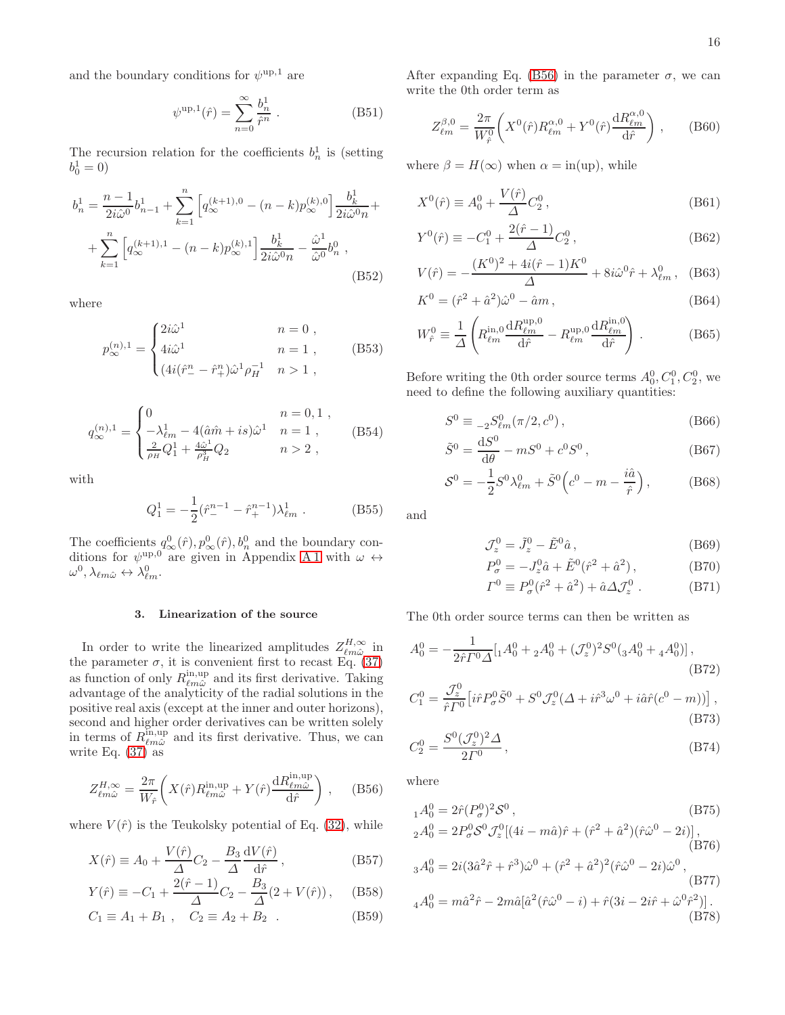and the boundary conditions for  $\psi^{\text{up},1}$  are

$$
\psi^{\text{up},1}(\hat{r}) = \sum_{n=0}^{\infty} \frac{b_n^1}{\hat{r}^n} .
$$
 (B51)

The recursion relation for the coefficients  $b_n^1$  is (setting  $b_0^1 = 0$ 

$$
b_n^1 = \frac{n-1}{2i\hat{\omega}^0} b_{n-1}^1 + \sum_{k=1}^n \left[ q_{\infty}^{(k+1),0} - (n-k) p_{\infty}^{(k),0} \right] \frac{b_k^1}{2i\hat{\omega}^0 n} +
$$
  
+ 
$$
\sum_{k=1}^n \left[ q_{\infty}^{(k+1),1} - (n-k) p_{\infty}^{(k),1} \right] \frac{b_k^1}{2i\hat{\omega}^0 n} - \frac{\hat{\omega}^1}{\hat{\omega}^0} b_n^0 ,
$$
(B52)

where

$$
p_{\infty}^{(n),1} = \begin{cases} 2i\hat{\omega}^1 & n = 0, \\ 4i\hat{\omega}^1 & n = 1, \\ (4i(\hat{r}_{-}^n - \hat{r}_{+}^n)\hat{\omega}^1 \rho_H^{-1} & n > 1, \end{cases}
$$
 (B53)

$$
q_{\infty}^{(n),1} = \begin{cases} 0 & n = 0,1 ,\\ -\lambda_{\ell m}^1 - 4(\hat{a}\hat{m} + is)\hat{\omega}^1 & n = 1 ,\\ \frac{2}{\rho_H}Q_1^1 + \frac{4\hat{\omega}^1}{\rho_H^3}Q_2 & n > 2 , \end{cases}
$$
 (B54)

with

$$
Q_1^1 = -\frac{1}{2}(\hat{r}_-^{n-1} - \hat{r}_+^{n-1})\lambda_{\ell m}^1 .
$$
 (B55)

The coefficients  $q_{\infty}^0(\hat{r}), p_{\infty}^0(\hat{r}), b_n^0$  and the boundary conditions for  $\psi^{\text{up},0}$  are given in Appendix [A 1](#page-11-0) with  $\omega \leftrightarrow$  $\omega^0, \lambda_{\ell m \hat{\omega}} \leftrightarrow \lambda_{\ell m}^0.$ 

#### <span id="page-15-0"></span>3. Linearization of the source

In order to write the linearized amplitudes  $Z_{\ell m\hat{\omega}}^{H,\infty}$  in the parameter  $\sigma$ , it is convenient first to recast Eq. [\(37\)](#page-3-5) as function of only  $R_{\ell m \hat{\omega}}^{\text{in,up}}$  and its first derivative. Taking advantage of the analyticity of the radial solutions in the positive real axis (except at the inner and outer horizons), second and higher order derivatives can be written solely in terms of  $R_{\ell m\hat{\omega}}^{\text{in,up}}$  and its first derivative. Thus, we can write Eq. [\(37\)](#page-3-5) as

<span id="page-15-1"></span>
$$
Z_{\ell m \hat{\omega}}^{H, \infty} = \frac{2\pi}{W_{\hat{r}}} \left( X(\hat{r}) R_{\ell m \hat{\omega}}^{\text{in,up}} + Y(\hat{r}) \frac{\mathrm{d} R_{\ell m \hat{\omega}}^{\text{in,up}}}{\mathrm{d}\hat{r}} \right), \quad (B56)
$$

where  $V(\hat{r})$  is the Teukolsky potential of Eq. [\(32\)](#page-3-4), while

$$
X(\hat{r}) \equiv A_0 + \frac{V(\hat{r})}{\Delta} C_2 - \frac{B_3}{\Delta} \frac{\mathrm{d}V(\hat{r})}{\mathrm{d}\hat{r}},\tag{B57}
$$

$$
Y(\hat{r}) \equiv -C_1 + \frac{2(\hat{r} - 1)}{\Delta}C_2 - \frac{B_3}{\Delta}(2 + V(\hat{r})), \quad (B58)
$$

$$
C_1 \equiv A_1 + B_1 \ , \quad C_2 \equiv A_2 + B_2 \ . \tag{B59}
$$

After expanding Eq. [\(B56\)](#page-15-1) in the parameter  $\sigma$ , we can write the 0th order term as

$$
Z_{\ell m}^{\beta,0} = \frac{2\pi}{W_{\hat{r}}^0} \bigg( X^0(\hat{r}) R_{\ell m}^{\alpha,0} + Y^0(\hat{r}) \frac{\mathrm{d}R_{\ell m}^{\alpha,0}}{\mathrm{d}\hat{r}} \bigg) , \qquad (B60)
$$

where  $\beta = H(\infty)$  when  $\alpha = \text{in}(\text{up})$ , while

$$
X^{0}(\hat{r}) \equiv A_{0}^{0} + \frac{V(\hat{r})}{\Delta} C_{2}^{0}, \qquad (B61)
$$

$$
Y^{0}(\hat{r}) \equiv -C_{1}^{0} + \frac{2(\hat{r} - 1)}{\Delta} C_{2}^{0}, \qquad (B62)
$$

$$
V(\hat{r}) = -\frac{(K^0)^2 + 4i(\hat{r} - 1)K^0}{\Delta} + 8i\hat{\omega}^0 \hat{r} + \lambda_{\ell m}^0, \quad (B63)
$$

$$
K^{0} = (\hat{r}^{2} + \hat{a}^{2})\hat{\omega}^{0} - \hat{a}m , \qquad (B64)
$$

$$
W_{\hat{r}}^{0} \equiv \frac{1}{\Delta} \left( R_{\ell m}^{\text{in},0} \frac{\mathrm{d}R_{\ell m}^{\text{up},0}}{\mathrm{d}\hat{r}} - R_{\ell m}^{\text{up},0} \frac{\mathrm{d}R_{\ell m}^{\text{in},0}}{\mathrm{d}\hat{r}} \right) . \tag{B65}
$$

Before writing the 0th order source terms  $A_0^0, C_1^0, C_2^0$ , we need to define the following auxiliary quantities:

$$
S^{0} \equiv {}_{-2}S^0_{\ell m}(\pi/2, c^0) , \qquad (B66)
$$

$$
\tilde{S}^0 = \frac{\mathrm{d}S^0}{\mathrm{d}\theta} - mS^0 + c^0 S^0, \qquad (B67)
$$

$$
S^{0} = -\frac{1}{2}S^{0}\lambda_{\ell m}^{0} + \tilde{S}^{0}\left(c^{0} - m - \frac{i\hat{a}}{\hat{r}}\right),
$$
 (B68)

and

$$
\mathcal{J}_z^0 = \tilde{J}_z^0 - \tilde{E}^0 \hat{a},\qquad (B69)
$$

$$
P_{\sigma}^{0} = -J_{z}^{0}\hat{a} + \tilde{E}^{0}(\hat{r}^{2} + \hat{a}^{2}), \qquad (B70)
$$

$$
\Gamma^0 \equiv P^0_\sigma(\hat{r}^2 + \hat{a}^2) + \hat{a}\Delta \mathcal{J}_z^0 . \tag{B71}
$$

The 0th order source terms can then be written as

$$
A_0^0 = -\frac{1}{2\hat{r}F^0\Delta} \left[ {}_1A_0^0 + {}_2A_0^0 + (\mathcal{J}_z^0)^2 S^0 ({}_3A_0^0 + {}_4A_0^0) \right],\tag{B72}
$$

$$
C_1^0 = \frac{\mathcal{J}_z^0}{\hat{r}T^0} \left[ i\hat{r}P^0_\sigma \tilde{S}^0 + S^0 \mathcal{J}_z^0 (\Delta + i\hat{r}^3 \omega^0 + i\hat{a}\hat{r}(c^0 - m)) \right],
$$
\n(B73)

$$
C_2^0 = \frac{S^0(\mathcal{J}_z^0)^2 \Delta}{2\Gamma^0},
$$
\n(B74)

where

$$
{}_{1}A_{0}^{0} = 2\hat{r}(P_{\sigma}^{0})^{2}S^{0},
$$
\n
$$
{}_{1}^{0} = {}_{2}P_{0}^{0}S^{0}Z^{0}(\sigma_{1}^{0}, \sigma_{2}^{0}) \times {}_{3}^{2}S^{2}(\sigma_{2}^{0}, \sigma_{1}^{0})
$$
\n(B75)

$$
{}_{2}A_{0}^{0} = 2P_{\sigma}^{0}S^{0}\mathcal{J}_{z}^{0}[(4i - m\hat{a})\hat{r} + (\hat{r}^{2} + \hat{a}^{2})(\hat{r}\hat{\omega}^{0} - 2i)],
$$
\n(B76)

$$
{}_{3}A_{0}^{0} = 2i(3\hat{a}^{2}\hat{r} + \hat{r}^{3})\hat{\omega}^{0} + (\hat{r}^{2} + \hat{a}^{2})^{2}(\hat{r}\hat{\omega}^{0} - 2i)\hat{\omega}^{0},
$$
\n(B77)  
\n
$$
{}_{4}A_{0}^{0} = m\hat{a}^{2}\hat{r} - 2m\hat{a}[\hat{a}^{2}(\hat{r}\hat{\omega}^{0} - i) + \hat{r}(3i - 2i\hat{r} + \hat{\omega}^{0}\hat{r}^{2})].
$$
\n(B78)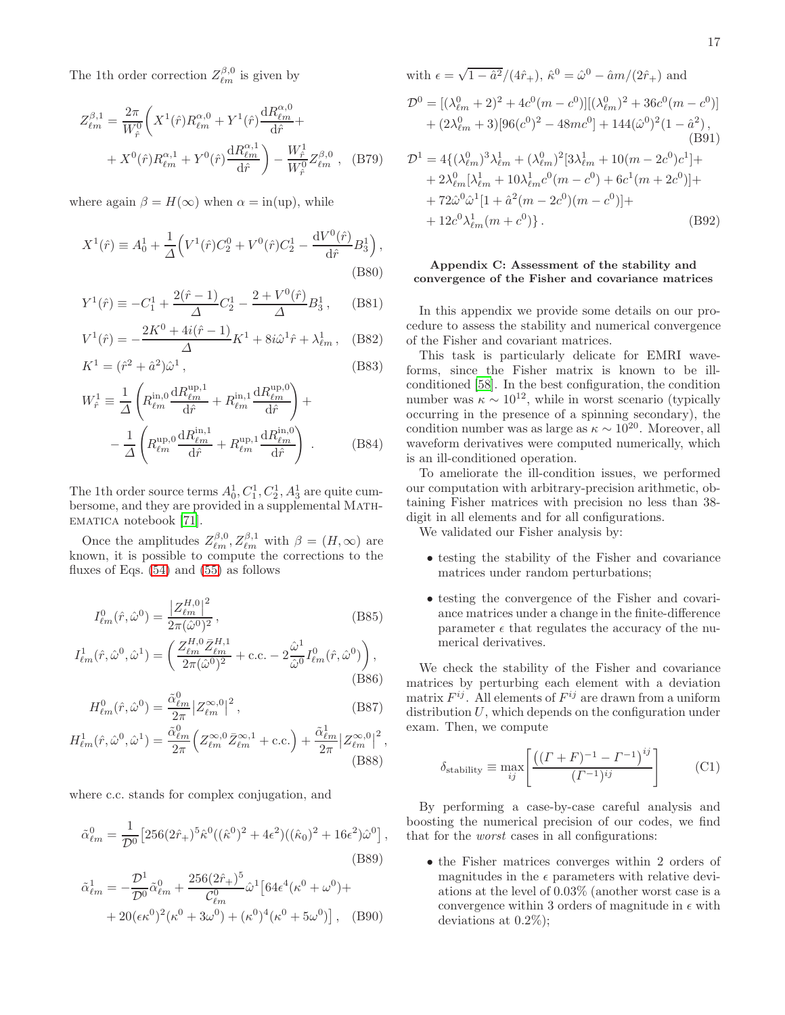The 1<sup>th</sup> order correction  $Z_{\ell m}^{\beta,0}$  is given by

$$
Z_{\ell m}^{\beta,1} = \frac{2\pi}{W_{\hat{r}}^0} \left( X^1(\hat{r}) R_{\ell m}^{\alpha,0} + Y^1(\hat{r}) \frac{\mathrm{d}R_{\ell m}^{\alpha,0}}{\mathrm{d}\hat{r}} + X^0(\hat{r}) R_{\ell m}^{\alpha,1} + Y^0(\hat{r}) \frac{\mathrm{d}R_{\ell m}^{\alpha,1}}{\mathrm{d}\hat{r}} \right) - \frac{W_{\hat{r}}^1}{W_{\hat{r}}^0} Z_{\ell m}^{\beta,0} , \quad (B79)
$$

where again  $\beta = H(\infty)$  when  $\alpha = \text{in}(\text{up})$ , while

$$
X^{1}(\hat{r}) \equiv A_{0}^{1} + \frac{1}{\Delta} \Big( V^{1}(\hat{r}) C_{2}^{0} + V^{0}(\hat{r}) C_{2}^{1} - \frac{dV^{0}(\hat{r})}{d\hat{r}} B_{3}^{1} \Big),
$$
\n(B80)

$$
Y^{1}(\hat{r}) \equiv -C_{1}^{1} + \frac{2(\hat{r} - 1)}{\Delta}C_{2}^{1} - \frac{2 + V^{0}(\hat{r})}{\Delta}B_{3}^{1}, \quad (B81)
$$

$$
V^{1}(\hat{r}) = -\frac{2K^{0} + 4i(\hat{r} - 1)}{\Delta}K^{1} + 8i\hat{\omega}^{1}\hat{r} + \lambda_{\ell m}^{1}, \quad (B82)
$$

$$
K^{1} = (\hat{r}^{2} + \hat{a}^{2})\hat{\omega}^{1},
$$
\n(B83)

$$
W_{\hat{r}}^1 \equiv \frac{1}{\Delta} \left( R_{\ell m}^{\text{in},0} \frac{\mathrm{d}R_{\ell m}^{\text{up},1}}{\mathrm{d}\hat{r}} + R_{\ell m}^{\text{in},1} \frac{\mathrm{d}R_{\ell m}^{\text{up},0}}{\mathrm{d}\hat{r}} \right) + -\frac{1}{\Delta} \left( R_{\ell m}^{\text{up},0} \frac{\mathrm{d}R_{\ell m}^{\text{in},1}}{\mathrm{d}\hat{r}} + R_{\ell m}^{\text{up},1} \frac{\mathrm{d}R_{\ell m}^{\text{in},0}}{\mathrm{d}\hat{r}} \right) . \tag{B84}
$$

The 1<sup>th</sup> order source terms  $A_0^1, C_1^1, C_2^1, A_3^1$  are quite cumbersome, and they are provided in a supplemental MATHematica notebook [\[71\]](#page-19-19).

Once the amplitudes  $Z_{\ell m}^{\beta,0}, Z_{\ell m}^{\beta,1}$  with  $\beta = (H, \infty)$  are known, it is possible to compute the corrections to the fluxes of Eqs. [\(54\)](#page-4-3) and [\(55\)](#page-4-4) as follows

$$
I_{\ell m}^{0}(\hat{r}, \hat{\omega}^{0}) = \frac{|Z_{\ell m}^{H,0}|^{2}}{2\pi(\hat{\omega}^{0})^{2}},
$$
\n(B85)

$$
I_{\ell m}^1(\hat{r}, \hat{\omega}^0, \hat{\omega}^1) = \left( \frac{Z_{\ell m}^{H,0} \bar{Z}_{\ell m}^{H,1}}{2\pi (\hat{\omega}^0)^2} + \text{c.c.} - 2 \frac{\hat{\omega}^1}{\hat{\omega}^0} I_{\ell m}^0(\hat{r}, \hat{\omega}^0) \right),
$$
(B86)

$$
H_{\ell m}^{0}(\hat{r}, \hat{\omega}^{0}) = \frac{\tilde{\alpha}_{\ell m}^{0}}{2\pi} \left| Z_{\ell m}^{\infty, 0} \right|^{2}, \qquad (B87)
$$

$$
H_{\ell m}^1(\hat{r}, \hat{\omega}^0, \hat{\omega}^1) = \frac{\tilde{\alpha}_{\ell m}^0}{2\pi} \left( Z_{\ell m}^{\infty, 0} \bar{Z}_{\ell m}^{\infty, 1} + \text{c.c.} \right) + \frac{\tilde{\alpha}_{\ell m}^1}{2\pi} \left| Z_{\ell m}^{\infty, 0} \right|^2, \tag{B88}
$$

where c.c. stands for complex conjugation, and

$$
\tilde{\alpha}_{\ell m}^0 = \frac{1}{\mathcal{D}^0} \left[ 256(2\hat{r}_+)^5 \hat{\kappa}^0 ((\hat{\kappa}^0)^2 + 4\epsilon^2) ((\hat{\kappa}_0)^2 + 16\epsilon^2) \hat{\omega}^0 \right],
$$
\n(B89)

$$
\tilde{\alpha}_{\ell m}^1 = -\frac{\mathcal{D}^1}{\mathcal{D}^0} \tilde{\alpha}_{\ell m}^0 + \frac{256(2\hat{r}_+)^5}{\mathcal{C}_{\ell m}^0} \hat{\omega}^1 \left[ 64\epsilon^4 (\kappa^0 + \omega^0) + \right. \\
\left. + 20(\epsilon \kappa^0)^2 (\kappa^0 + 3\omega^0) + (\kappa^0)^4 (\kappa^0 + 5\omega^0) \right], \quad \text{(B90)}
$$

with 
$$
\epsilon = \sqrt{1 - \hat{a}^2}/(4\hat{r}_+), \ \hat{\kappa}^0 = \hat{\omega}^0 - \hat{a}m/(2\hat{r}_+)
$$
 and  
\n
$$
\mathcal{D}^0 = [(\lambda_{\ell m}^0 + 2)^2 + 4c^0(m - c^0)][(\lambda_{\ell m}^0)^2 + 36c^0(m - c^0)] + (2\lambda_{\ell m}^0 + 3)[96(c^0)^2 - 48mc^0] + 144(\hat{\omega}^0)^2(1 - \hat{a}^2),
$$
\n(B91)

$$
\mathcal{D}^{1} = 4\{(\lambda_{\ell m}^{0})^{3}\lambda_{\ell m}^{1} + (\lambda_{\ell m}^{0})^{2}[3\lambda_{\ell m}^{1} + 10(m - 2c^{0})c^{1}] + 4\lambda_{\ell m}^{0}[\lambda_{\ell m}^{1} + 10\lambda_{\ell m}^{1}c^{0}(m - c^{0}) + 6c^{1}(m + 2c^{0})] + 72\hat{\omega}^{0}\hat{\omega}^{1}[1 + \hat{a}^{2}(m - 2c^{0})(m - c^{0})] + 12c^{0}\lambda_{\ell m}^{1}(m + c^{0})\}.
$$
\n(B92)

### <span id="page-16-0"></span>Appendix C: Assessment of the stability and convergence of the Fisher and covariance matrices

In this appendix we provide some details on our procedure to assess the stability and numerical convergence of the Fisher and covariant matrices.

This task is particularly delicate for EMRI waveforms, since the Fisher matrix is known to be illconditioned [\[58\]](#page-19-7). In the best configuration, the condition number was  $\kappa \sim 10^{12}$ , while in worst scenario (typically occurring in the presence of a spinning secondary), the condition number was as large as  $\kappa \sim 10^{20}$ . Moreover, all waveform derivatives were computed numerically, which is an ill-conditioned operation.

To ameliorate the ill-condition issues, we performed our computation with arbitrary-precision arithmetic, obtaining Fisher matrices with precision no less than 38 digit in all elements and for all configurations.

We validated our Fisher analysis by:

- testing the stability of the Fisher and covariance matrices under random perturbations;
- testing the convergence of the Fisher and covariance matrices under a change in the finite-difference parameter  $\epsilon$  that regulates the accuracy of the numerical derivatives.

We check the stability of the Fisher and covariance matrices by perturbing each element with a deviation matrix  $F^{ij}$ . All elements of  $F^{ij}$  are drawn from a uniform distribution  $U$ , which depends on the configuration under exam. Then, we compute

$$
\delta_{\text{stability}} \equiv \max_{ij} \left[ \frac{\left( (I + F)^{-1} - I^{-1} \right)^{ij}}{(I^{-1})^{ij}} \right] \tag{C1}
$$

By performing a case-by-case careful analysis and boosting the numerical precision of our codes, we find that for the worst cases in all configurations:

• the Fisher matrices converges within 2 orders of magnitudes in the  $\epsilon$  parameters with relative deviations at the level of 0.03% (another worst case is a convergence within 3 orders of magnitude in  $\epsilon$  with deviations at 0.2%);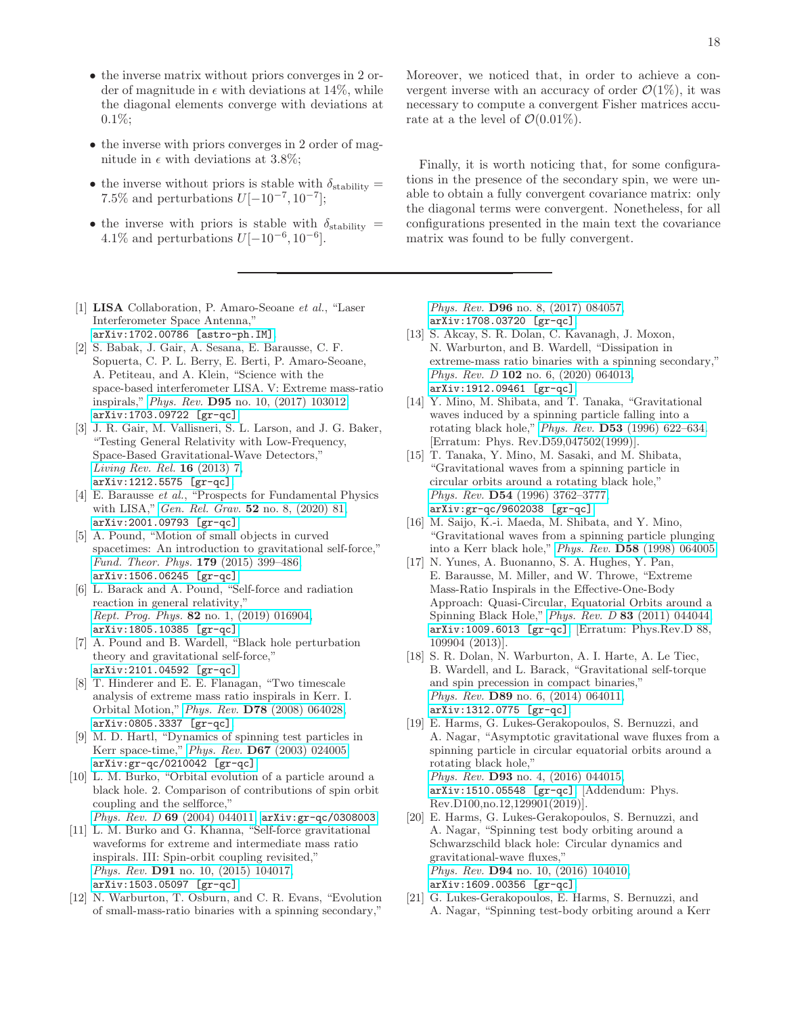- the inverse matrix without priors converges in 2 order of magnitude in  $\epsilon$  with deviations at 14%, while the diagonal elements converge with deviations at 0.1%;
- the inverse with priors converges in 2 order of magnitude in  $\epsilon$  with deviations at 3.8%;
- the inverse without priors is stable with  $\delta_{stability} =$ 7.5% and perturbations  $U[-10^{-7}, 10^{-7}]$ ;
- the inverse with priors is stable with  $\delta_{\text{stability}} =$ 4.1% and perturbations  $U[-10^{-6}, 10^{-6}]$ .
- <span id="page-17-0"></span>[1] LISA Collaboration, P. Amaro-Seoane *et al.*, "Laser Interferometer Space Antenna," [arXiv:1702.00786 \[astro-ph.IM\]](http://arxiv.org/abs/1702.00786).
- <span id="page-17-1"></span>[2] S. Babak, J. Gair, A. Sesana, E. Barausse, C. F. Sopuerta, C. P. L. Berry, E. Berti, P. Amaro-Seoane, A. Petiteau, and A. Klein, "Science with the space-based interferometer LISA. V: Extreme mass-ratio inspirals," *Phys. Rev.* D95 [no. 10, \(2017\) 103012,](http://dx.doi.org/10.1103/PhysRevD.95.103012) [arXiv:1703.09722 \[gr-qc\]](http://arxiv.org/abs/1703.09722).
- <span id="page-17-2"></span>J. R. Gair, M. Vallisneri, S. L. Larson, and J. G. Baker, "Testing General Relativity with Low-Frequency, Space-Based Gravitational-Wave Detectors," *[Living Rev. Rel.](http://dx.doi.org/10.12942/lrr-2013-7)* 16 (2013) 7, [arXiv:1212.5575 \[gr-qc\]](http://arxiv.org/abs/1212.5575).
- <span id="page-17-3"></span>[4] E. Barausse *et al.*, "Prospects for Fundamental Physics with LISA," *Gen. Rel. Grav.* 52 [no. 8, \(2020\) 81,](http://dx.doi.org/10.1007/s10714-020-02691-1) [arXiv:2001.09793 \[gr-qc\]](http://arxiv.org/abs/2001.09793).
- <span id="page-17-4"></span>[5] A. Pound, "Motion of small objects in curved spacetimes: An introduction to gravitational self-force," *[Fund. Theor. Phys.](http://dx.doi.org/10.1007/978-3-319-18335-0_13)* 179 (2015) 399–486, [arXiv:1506.06245 \[gr-qc\]](http://arxiv.org/abs/1506.06245).
- [6] L. Barack and A. Pound, "Self-force and radiation reaction in general relativity," *Rept. Prog. Phys.* 82 [no. 1, \(2019\) 016904,](http://dx.doi.org/10.1088/1361-6633/aae552) [arXiv:1805.10385 \[gr-qc\]](http://arxiv.org/abs/1805.10385).
- <span id="page-17-5"></span>[7] A. Pound and B. Wardell, "Black hole perturbation theory and gravitational self-force," [arXiv:2101.04592 \[gr-qc\]](http://arxiv.org/abs/2101.04592).
- <span id="page-17-6"></span>[8] T. Hinderer and E. E. Flanagan, "Two timescale analysis of extreme mass ratio inspirals in Kerr. I. Orbital Motion," *Phys. Rev.* D78 [\(2008\) 064028,](http://dx.doi.org/10.1103/PhysRevD.78.064028) [arXiv:0805.3337 \[gr-qc\]](http://arxiv.org/abs/0805.3337).
- <span id="page-17-7"></span>[9] M. D. Hartl, "Dynamics of spinning test particles in Kerr space-time," *Phys. Rev.* D67 [\(2003\) 024005,](http://dx.doi.org/10.1103/PhysRevD.67.024005) [arXiv:gr-qc/0210042 \[gr-qc\]](http://arxiv.org/abs/gr-qc/0210042).
- <span id="page-17-8"></span>[10] L. M. Burko, "Orbital evolution of a particle around a black hole. 2. Comparison of contributions of spin orbit coupling and the selfforce," *Phys. Rev. D* 69 [\(2004\) 044011,](http://dx.doi.org/10.1103/PhysRevD.69.044011) [arXiv:gr-qc/0308003](http://arxiv.org/abs/gr-qc/0308003).
- <span id="page-17-10"></span>[11] L. M. Burko and G. Khanna, "Self-force gravitational
- waveforms for extreme and intermediate mass ratio inspirals. III: Spin-orbit coupling revisited," *Phys. Rev.* D91 [no. 10, \(2015\) 104017,](http://dx.doi.org/10.1103/PhysRevD.91.104017) [arXiv:1503.05097 \[gr-qc\]](http://arxiv.org/abs/1503.05097).
- <span id="page-17-12"></span>[12] N. Warburton, T. Osburn, and C. R. Evans, "Evolution of small-mass-ratio binaries with a spinning secondary,"

Moreover, we noticed that, in order to achieve a convergent inverse with an accuracy of order  $\mathcal{O}(1\%)$ , it was necessary to compute a convergent Fisher matrices accurate at a the level of  $\mathcal{O}(0.01\%)$ .

Finally, it is worth noticing that, for some configurations in the presence of the secondary spin, we were unable to obtain a fully convergent covariance matrix: only the diagonal terms were convergent. Nonetheless, for all configurations presented in the main text the covariance matrix was found to be fully convergent.

*Phys. Rev.* D96 [no. 8, \(2017\) 084057,](http://dx.doi.org/10.1103/PhysRevD.96.084057) [arXiv:1708.03720 \[gr-qc\]](http://arxiv.org/abs/1708.03720).

- <span id="page-17-9"></span>[13] S. Akcay, S. R. Dolan, C. Kavanagh, J. Moxon, N. Warburton, and B. Wardell, "Dissipation in extreme-mass ratio binaries with a spinning secondary," *Phys. Rev. D* 102 [no. 6, \(2020\) 064013,](http://dx.doi.org/10.1103/PhysRevD.102.064013) [arXiv:1912.09461 \[gr-qc\]](http://arxiv.org/abs/1912.09461).
- <span id="page-17-11"></span>[14] Y. Mino, M. Shibata, and T. Tanaka, "Gravitational waves induced by a spinning particle falling into a rotating black hole," *Phys. Rev.* D53 [\(1996\) 622–634.](http://dx.doi.org/10.1103/PhysRevD.53.622, 10.1103/PhysRevD.59.047502) [Erratum: Phys. Rev.D59,047502(1999)].
- <span id="page-17-13"></span>[15] T. Tanaka, Y. Mino, M. Sasaki, and M. Shibata, "Gravitational waves from a spinning particle in circular orbits around a rotating black hole," *Phys. Rev.* D54 [\(1996\) 3762–3777,](http://dx.doi.org/10.1103/PhysRevD.54.3762) [arXiv:gr-qc/9602038 \[gr-qc\]](http://arxiv.org/abs/gr-qc/9602038).
- [16] M. Saijo, K.-i. Maeda, M. Shibata, and Y. Mino, "Gravitational waves from a spinning particle plunging into a Kerr black hole," *Phys. Rev.* D58 [\(1998\) 064005.](http://dx.doi.org/10.1103/PhysRevD.58.064005)
- [17] N. Yunes, A. Buonanno, S. A. Hughes, Y. Pan, E. Barausse, M. Miller, and W. Throwe, "Extreme Mass-Ratio Inspirals in the Effective-One-Body Approach: Quasi-Circular, Equatorial Orbits around a Spinning Black Hole," *Phys. Rev. D* 83 [\(2011\) 044044,](http://dx.doi.org/10.1103/PhysRevD.83.044044) [arXiv:1009.6013 \[gr-qc\]](http://arxiv.org/abs/1009.6013). [Erratum: Phys.Rev.D 88, 109904 (2013)].
- [18] S. R. Dolan, N. Warburton, A. I. Harte, A. Le Tiec, B. Wardell, and L. Barack, "Gravitational self-torque and spin precession in compact binaries," *Phys. Rev.* **D89** [no. 6, \(2014\) 064011,](http://dx.doi.org/10.1103/PhysRevD.89.064011) [arXiv:1312.0775 \[gr-qc\]](http://arxiv.org/abs/1312.0775).
- [19] E. Harms, G. Lukes-Gerakopoulos, S. Bernuzzi, and A. Nagar, "Asymptotic gravitational wave fluxes from a spinning particle in circular equatorial orbits around a rotating black hole," *Phys. Rev.* **D93** [no. 4, \(2016\) 044015,](http://dx.doi.org/10.1103/PhysRevD.100.129901, 10.1103/PhysRevD.93.044015) [arXiv:1510.05548 \[gr-qc\]](http://arxiv.org/abs/1510.05548). [Addendum: Phys. Rev.D100,no.12,129901(2019)].
- [20] E. Harms, G. Lukes-Gerakopoulos, S. Bernuzzi, and A. Nagar, "Spinning test body orbiting around a Schwarzschild black hole: Circular dynamics and gravitational-wave fluxes," *Phys. Rev.* D94 [no. 10, \(2016\) 104010,](http://dx.doi.org/10.1103/PhysRevD.100.129902, 10.1103/PhysRevD.94.104010) [arXiv:1609.00356 \[gr-qc\]](http://arxiv.org/abs/1609.00356).
- [21] G. Lukes-Gerakopoulos, E. Harms, S. Bernuzzi, and A. Nagar, "Spinning test-body orbiting around a Kerr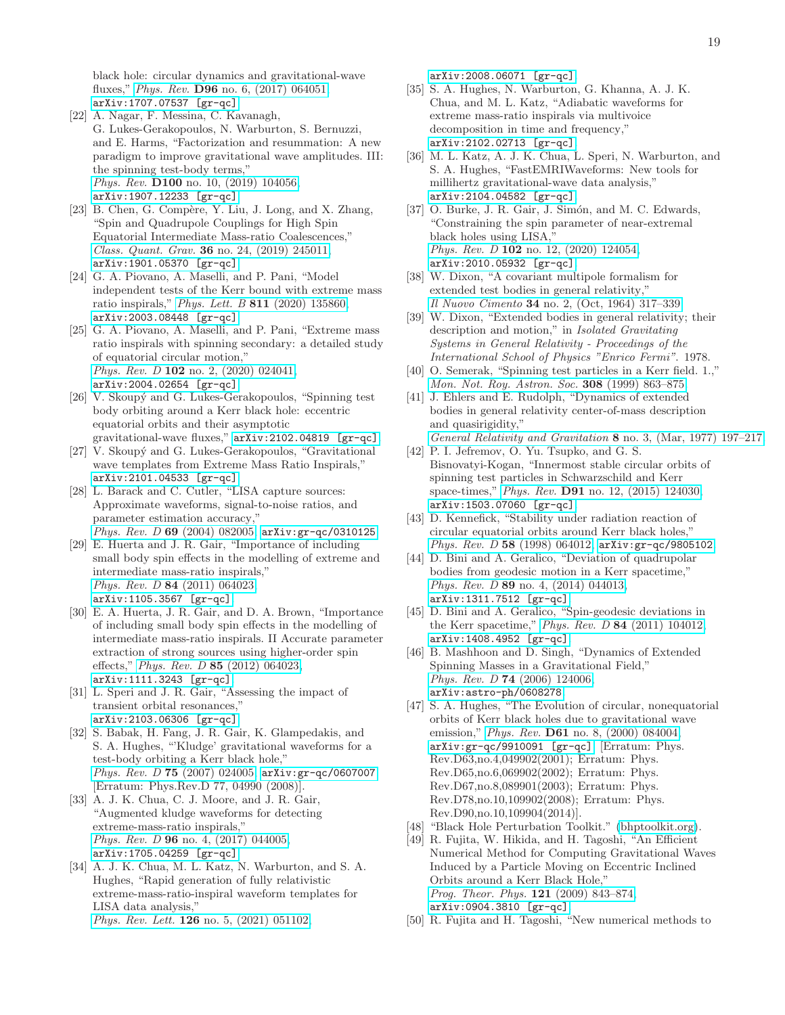black hole: circular dynamics and gravitational-wave fluxes," *Phys. Rev.* D96 [no. 6, \(2017\) 064051,](http://dx.doi.org/10.1103/PhysRevD.96.064051) [arXiv:1707.07537 \[gr-qc\]](http://arxiv.org/abs/1707.07537).

- [22] A. Nagar, F. Messina, C. Kavanagh, G. Lukes-Gerakopoulos, N. Warburton, S. Bernuzzi, and E. Harms, "Factorization and resummation: A new paradigm to improve gravitational wave amplitudes. III: the spinning test-body terms," *Phys. Rev.* D100 [no. 10, \(2019\) 104056,](http://dx.doi.org/10.1103/PhysRevD.100.104056) [arXiv:1907.12233 \[gr-qc\]](http://arxiv.org/abs/1907.12233).
- <span id="page-18-0"></span>[23] B. Chen, G. Compère, Y. Liu, J. Long, and X. Zhang, "Spin and Quadrupole Couplings for High Spin Equatorial Intermediate Mass-ratio Coalescences," *Class. Quant. Grav.* 36 [no. 24, \(2019\) 245011,](http://dx.doi.org/10.1088/1361-6382/ab4fb0) [arXiv:1901.05370 \[gr-qc\]](http://arxiv.org/abs/1901.05370).
- <span id="page-18-1"></span>[24] G. A. Piovano, A. Maselli, and P. Pani, "Model independent tests of the Kerr bound with extreme mass ratio inspirals," *Phys. Lett. B* 811 [\(2020\) 135860,](http://dx.doi.org/10.1016/j.physletb.2020.135860) [arXiv:2003.08448 \[gr-qc\]](http://arxiv.org/abs/2003.08448).
- <span id="page-18-2"></span>[25] G. A. Piovano, A. Maselli, and P. Pani, "Extreme mass ratio inspirals with spinning secondary: a detailed study of equatorial circular motion," *Phys. Rev. D* 102 [no. 2, \(2020\) 024041,](http://dx.doi.org/10.1103/PhysRevD.102.024041) [arXiv:2004.02654 \[gr-qc\]](http://arxiv.org/abs/2004.02654).
- <span id="page-18-3"></span>[26] V. Skoupý and G. Lukes-Gerakopoulos, "Spinning test" body orbiting around a Kerr black hole: eccentric equatorial orbits and their asymptotic gravitational-wave fluxes," [arXiv:2102.04819 \[gr-qc\]](http://arxiv.org/abs/2102.04819).
- <span id="page-18-4"></span>[27] V. Skoupý and G. Lukes-Gerakopoulos, "Gravitational wave templates from Extreme Mass Ratio Inspirals," [arXiv:2101.04533 \[gr-qc\]](http://arxiv.org/abs/2101.04533).
- <span id="page-18-5"></span>[28] L. Barack and C. Cutler, "LISA capture sources: Approximate waveforms, signal-to-noise ratios, and parameter estimation accuracy," *Phys. Rev. D* 69 [\(2004\) 082005,](http://dx.doi.org/10.1103/PhysRevD.69.082005) [arXiv:gr-qc/0310125](http://arxiv.org/abs/gr-qc/0310125).
- <span id="page-18-11"></span>[29] E. Huerta and J. R. Gair, "Importance of including small body spin effects in the modelling of extreme and intermediate mass-ratio inspirals," *Phys. Rev. D* 84 [\(2011\) 064023,](http://dx.doi.org/10.1103/PhysRevD.84.064023) [arXiv:1105.3567 \[gr-qc\]](http://arxiv.org/abs/1105.3567).
- <span id="page-18-12"></span>[30] E. A. Huerta, J. R. Gair, and D. A. Brown, "Importance of including small body spin effects in the modelling of intermediate mass-ratio inspirals. II Accurate parameter extraction of strong sources using higher-order spin effects," *Phys. Rev. D* 85 [\(2012\) 064023,](http://dx.doi.org/10.1103/PhysRevD.85.064023) [arXiv:1111.3243 \[gr-qc\]](http://arxiv.org/abs/1111.3243).
- <span id="page-18-6"></span>[31] L. Speri and J. R. Gair, "Assessing the impact of transient orbital resonances," [arXiv:2103.06306 \[gr-qc\]](http://arxiv.org/abs/2103.06306).
- <span id="page-18-7"></span>[32] S. Babak, H. Fang, J. R. Gair, K. Glampedakis, and S. A. Hughes, "'Kludge' gravitational waveforms for a test-body orbiting a Kerr black hole," *Phys. Rev. D* 75 [\(2007\) 024005,](http://dx.doi.org/10.1103/PhysRevD.75.024005) [arXiv:gr-qc/0607007](http://arxiv.org/abs/gr-qc/0607007). [Erratum: Phys.Rev.D 77, 04990 (2008)].
- <span id="page-18-8"></span>[33] A. J. K. Chua, C. J. Moore, and J. R. Gair, "Augmented kludge waveforms for detecting extreme-mass-ratio inspirals," *Phys. Rev. D* 96 [no. 4, \(2017\) 044005,](http://dx.doi.org/10.1103/PhysRevD.96.044005) [arXiv:1705.04259 \[gr-qc\]](http://arxiv.org/abs/1705.04259).
- <span id="page-18-9"></span>[34] A. J. K. Chua, M. L. Katz, N. Warburton, and S. A. Hughes, "Rapid generation of fully relativistic extreme-mass-ratio-inspiral waveform templates for LISA data analysis," *Phys. Rev. Lett.* 126 [no. 5, \(2021\) 051102,](http://dx.doi.org/10.1103/PhysRevLett.126.051102)

[arXiv:2008.06071 \[gr-qc\]](http://arxiv.org/abs/2008.06071).

- [35] S. A. Hughes, N. Warburton, G. Khanna, A. J. K. Chua, and M. L. Katz, "Adiabatic waveforms for extreme mass-ratio inspirals via multivoice decomposition in time and frequency," [arXiv:2102.02713 \[gr-qc\]](http://arxiv.org/abs/2102.02713).
- <span id="page-18-10"></span>[36] M. L. Katz, A. J. K. Chua, L. Speri, N. Warburton, and S. A. Hughes, "FastEMRIWaveforms: New tools for millihertz gravitational-wave data analysis," [arXiv:2104.04582 \[gr-qc\]](http://arxiv.org/abs/2104.04582).
- <span id="page-18-13"></span>[37] O. Burke, J. R. Gair, J. Simón, and M. C. Edwards, "Constraining the spin parameter of near-extremal black holes using LISA," *Phys. Rev. D* 102 [no. 12, \(2020\) 124054,](http://dx.doi.org/10.1103/PhysRevD.102.124054) [arXiv:2010.05932 \[gr-qc\]](http://arxiv.org/abs/2010.05932).
- <span id="page-18-14"></span>[38] W. Dixon, "A covariant multipole formalism for extended test bodies in general relativity," *Il Nuovo Cimento* 34 [no. 2, \(Oct, 1964\) 317–339.](http://dx.doi.org/10.1007/BF02734579)
- <span id="page-18-15"></span>[39] W. Dixon, "Extended bodies in general relativity; their description and motion," in *Isolated Gravitating Systems in General Relativity - Proceedings of the International School of Physics "Enrico Fermi"*. 1978.
- <span id="page-18-16"></span>[40] O. Semerak, "Spinning test particles in a Kerr field. 1.," *[Mon. Not. Roy. Astron. Soc.](http://dx.doi.org/10.1046/j.1365-8711.1999.02754.x)* 308 (1999) 863–875.
- <span id="page-18-17"></span>[41] J. Ehlers and E. Rudolph, "Dynamics of extended bodies in general relativity center-of-mass description and quasirigidity," *[General Relativity and Gravitation](http://dx.doi.org/10.1007/BF00763547)* 8 no. 3, (Mar, 1977) 197–217.
- <span id="page-18-18"></span>[42] P. I. Jefremov, O. Yu. Tsupko, and G. S. Bisnovatyi-Kogan, "Innermost stable circular orbits of spinning test particles in Schwarzschild and Kerr space-times," *Phys. Rev.* D91 [no. 12, \(2015\) 124030,](http://dx.doi.org/10.1103/PhysRevD.91.124030) [arXiv:1503.07060 \[gr-qc\]](http://arxiv.org/abs/1503.07060).
- <span id="page-18-19"></span>[43] D. Kennefick, "Stability under radiation reaction of circular equatorial orbits around Kerr black holes," *Phys. Rev. D* 58 [\(1998\) 064012,](http://dx.doi.org/10.1103/PhysRevD.58.064012) [arXiv:gr-qc/9805102](http://arxiv.org/abs/gr-qc/9805102).
- <span id="page-18-20"></span>[44] D. Bini and A. Geralico, "Deviation of quadrupolar bodies from geodesic motion in a Kerr spacetime," *Phys. Rev. D* 89 [no. 4, \(2014\) 044013,](http://dx.doi.org/10.1103/PhysRevD.89.044013) [arXiv:1311.7512 \[gr-qc\]](http://arxiv.org/abs/1311.7512).
- <span id="page-18-21"></span>[45] D. Bini and A. Geralico, "Spin-geodesic deviations in the Kerr spacetime," *Phys. Rev. D* 84 [\(2011\) 104012,](http://dx.doi.org/10.1103/PhysRevD.84.104012) [arXiv:1408.4952 \[gr-qc\]](http://arxiv.org/abs/1408.4952).
- <span id="page-18-22"></span>[46] B. Mashhoon and D. Singh, "Dynamics of Extended Spinning Masses in a Gravitational Field," *Phys. Rev. D* 74 [\(2006\) 124006,](http://dx.doi.org/10.1103/PhysRevD.74.124006) [arXiv:astro-ph/0608278](http://arxiv.org/abs/astro-ph/0608278).
- <span id="page-18-23"></span>[47] S. A. Hughes, "The Evolution of circular, nonequatorial orbits of Kerr black holes due to gravitational wave emission," *Phys. Rev.* D61 [no. 8, \(2000\) 084004,](http://dx.doi.org/10.1103/PhysRevD.65.069902, 10.1103/PhysRevD.90.109904, 10.1103/PhysRevD.61.084004, 10.1103/PhysRevD.63.049902, 10.1103/PhysRevD.67.089901) [arXiv:gr-qc/9910091 \[gr-qc\]](http://arxiv.org/abs/gr-qc/9910091). [Erratum: Phys. Rev.D63,no.4,049902(2001); Erratum: Phys. Rev.D65,no.6,069902(2002); Erratum: Phys. Rev.D67,no.8,089901(2003); Erratum: Phys. Rev.D78,no.10,109902(2008); Erratum: Phys. Rev.D90,no.10,109904(2014)].
- <span id="page-18-24"></span>[48] "Black Hole Perturbation Toolkit." [\(bhptoolkit.org\)](http://bhptoolkit.org/).
- <span id="page-18-25"></span>[49] R. Fujita, W. Hikida, and H. Tagoshi, "An Efficient Numerical Method for Computing Gravitational Waves Induced by a Particle Moving on Eccentric Inclined Orbits around a Kerr Black Hole," *[Prog. Theor. Phys.](http://dx.doi.org/10.1143/PTP.121.843)* 121 (2009) 843–874, [arXiv:0904.3810 \[gr-qc\]](http://arxiv.org/abs/0904.3810).
- <span id="page-18-26"></span>[50] R. Fujita and H. Tagoshi, "New numerical methods to